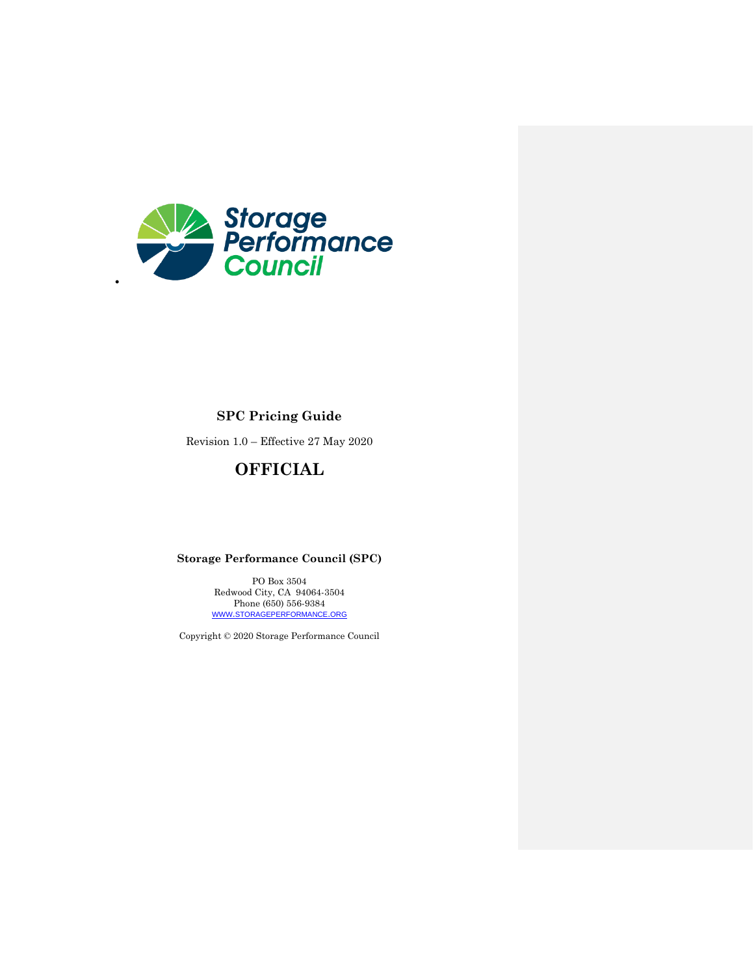

# **SPC Pricing Guide**

Revision 1.0 – Effective 27 May 2020

# **OFFICIAL**

# **Storage Performance Council (SPC)**

PO Box 3504 Redwood City, CA 94064-3504 Phone (650) 556-9384 WWW.[STORAGEPERFORMANCE](http://www.storageperformance.org/).ORG

Copyright © 2020 Storage Performance Council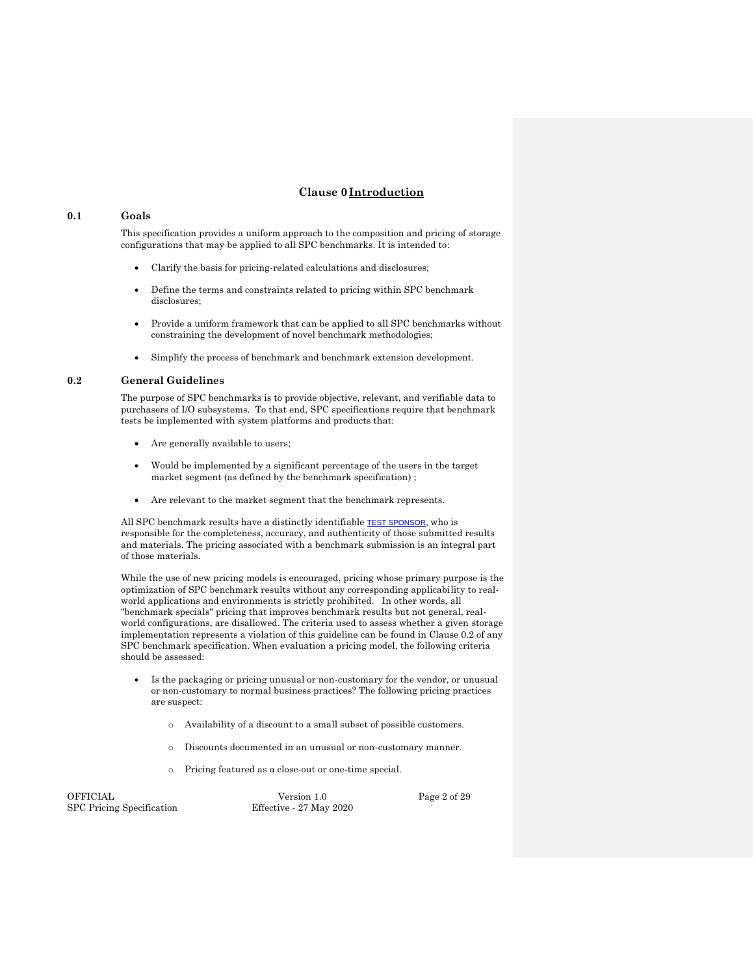# **Clause 0Introduction**

### **0.1 Goals**

This specification provides a uniform approach to the composition and pricing of storage configurations that may be applied to all SPC benchmarks. It is intended to:

- Clarify the basis for pricing-related calculations and disclosures;
- Define the terms and constraints related to pricing within SPC benchmark disclosures;
- Provide a uniform framework that can be applied to all SPC benchmarks without constraining the development of novel benchmark methodologies;
- Simplify the process of benchmark and benchmark extension development.

### <span id="page-1-0"></span>**0.2 General Guidelines**

The purpose of SPC benchmarks is to provide objective, relevant, and verifiable data to purchasers of I/O subsystems. To that end, SPC specifications require that benchmark tests be implemented with system platforms and products that:

- Are generally available to users;
- Would be implemented by a significant percentage of the users in the target market segment (as defined by the benchmark specification) ;
- Are relevant to the market segment that the benchmark represents.

All SPC benchmark results have a distinctly identifiable TEST SPONSOR, who is responsible for the completeness, accuracy, and authenticity of those submitted results and materials. The pricing associated with a benchmark submission is an integral part of those materials.

While the use of new pricing models is encouraged, pricing whose primary purpose is the optimization of SPC benchmark results without any corresponding applicability to realworld applications and environments is strictly prohibited. In other words, all "benchmark specials" pricing that improves benchmark results but not general, realworld configurations, are disallowed. The criteria used to assess whether a given storage implementation represents a violation of this guideline can be found in Clause 0.2 of any SPC benchmark specification. When evaluation a pricing model, the following criteria should be assessed:

- Is the packaging or pricing unusual or non-customary for the vendor, or unusual or non-customary to normal business practices? The following pricing practices are suspect:
	- o Availability of a discount to a small subset of possible customers.
	- o Discounts documented in an unusual or non-customary manner.
	- o Pricing featured as a close-out or one-time special.

OFFICIAL Version 1.0 Page 2 of 29 SPC Pricing Specification Effective - 27 May 2020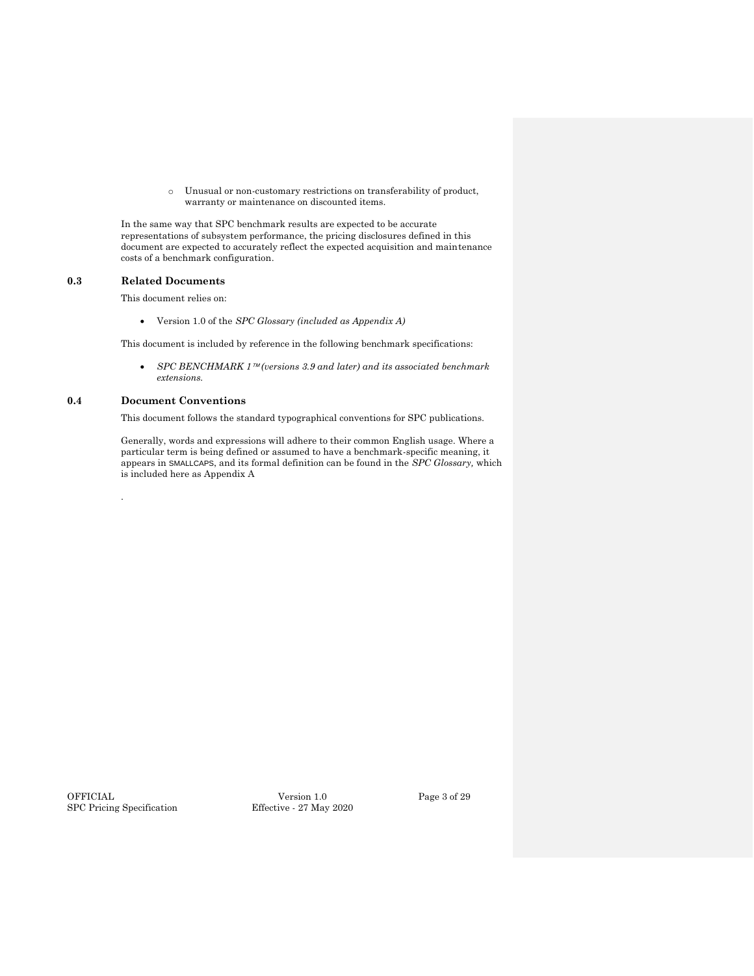o Unusual or non-customary restrictions on transferability of product, warranty or maintenance on discounted items.

In the same way that SPC benchmark results are expected to be accurate representations of subsystem performance, the pricing disclosures defined in this document are expected to accurately reflect the expected acquisition and maintenance costs of a benchmark configuration.

### **0.3 Related Documents**

This document relies on:

• Version 1.0 of the *SPC Glossary (included as [Appendix A\)](#page-21-0)*

This document is included by reference in the following benchmark specifications:

• *SPC BENCHMARK 1<sup>™</sup> (versions 3.9 and later) and its associated benchmark extensions.*

### **0.4 Document Conventions**

.

This document follows the standard typographical conventions for SPC publications.

Generally, words and expressions will adhere to their common English usage. Where a particular term is being defined or assumed to have a benchmark-specific meaning, it appears in SMALLCAPS, and its formal definition can be found in the *SPC Glossary,* which is included here as [Appendix A](#page-21-0)

OFFICIAL Version 1.0 Page 3 of 29<br>SPC Pricing Specification Effective - 27 May 2020 SPC Pricing Specification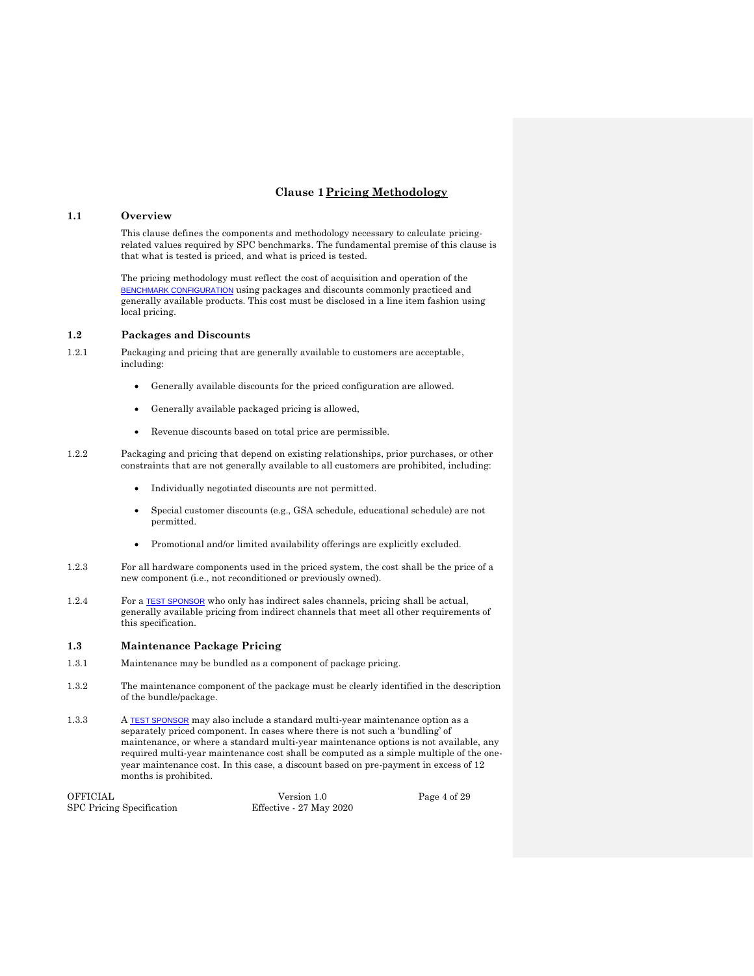## **Clause 1Pricing Methodology**

### **1.1 Overview**

This clause defines the components and methodology necessary to calculate pricingrelated values required by SPC benchmarks. The fundamental premise of this clause is that what is tested is priced, and what is priced is tested.

The pricing methodology must reflect the cost of acquisition and operation of the [BENCHMARK CONFIGURATION](#page-22-0) using packages and discounts commonly practiced and generally available products. This cost must be disclosed in a line item fashion using local pricing.

#### **1.2 Packages and Discounts**

1.2.1 Packaging and pricing that are generally available to customers are acceptable, including:

- Generally available discounts for the priced configuration are allowed.
- Generally available packaged pricing is allowed,
- Revenue discounts based on total price are permissible.
- 1.2.2 Packaging and pricing that depend on existing relationships, prior purchases, or other constraints that are not generally available to all customers are prohibited, including:
	- Individually negotiated discounts are not permitted.
	- Special customer discounts (e.g., GSA schedule, educational schedule) are not permitted.
	- Promotional and/or limited availability offerings are explicitly excluded.
- 1.2.3 For all hardware components used in the priced system, the cost shall be the price of a new component (i.e., not reconditioned or previously owned).
- 1.2.4 For a TEST SPONSOR who only has indirect sales channels, pricing shall be actual, generally available pricing from indirect channels that meet all other requirements of this specification.

### **1.3 Maintenance Package Pricing**

- 1.3.1 Maintenance may be bundled as a component of package pricing.
- 1.3.2 The maintenance component of the package must be clearly identified in the description of the bundle/package.
- 1.3.3 A TEST SPONSOR may also include a standard multi-year maintenance option as a separately priced component. In cases where there is not such a 'bundling' of maintenance, or where a standard multi-year maintenance options is not available, any required multi-year maintenance cost shall be computed as a simple multiple of the oneyear maintenance cost. In this case, a discount based on pre-payment in excess of 12 months is prohibited.

| OFFICIAL                  | Version 1.0             | Page 4 of 29 |
|---------------------------|-------------------------|--------------|
| SPC Pricing Specification | Effective - 27 May 2020 |              |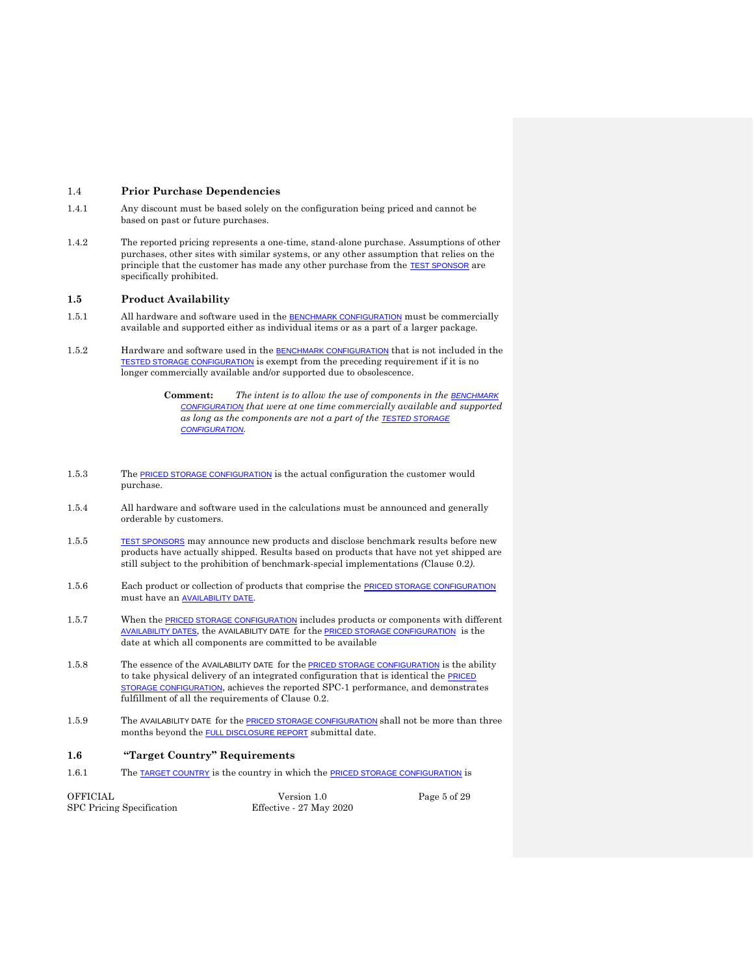#### 1.4 **Prior Purchase Dependencies**

- 1.4.1 Any discount must be based solely on the configuration being priced and cannot be based on past or future purchases.
- 1.4.2 The reported pricing represents a one-time, stand-alone purchase. Assumptions of other purchases, other sites with similar systems, or any other assumption that relies on the principle that the customer has made any other purchase from the **TEST SPONSOR** are specifically prohibited.

#### **1.5 Product Availability**

- 1.5.1 All hardware and software used in the [BENCHMARK CONFIGURATION](#page-22-0) must be commercially available and supported either as individual items or as a part of a larger package.
- 1.5.2 Hardware and software used in the **[BENCHMARK CONFIGURATION](#page-22-0)** that is not included in the TESTED STORAGE CONFIGURATION is exempt from the preceding requirement if it is no longer commercially available and/or supported due to obsolescence.

**Comment:** *The intent is to allow the use of components in the [BENCHMARK](#page-22-0)  [CONFIGURATION](#page-22-0) that were at one time commercially available and supported as long as the components are not a part of the TESTED STORAGE CONFIGURATION.* 

- 1.5.3 The **PRICED STORAGE CONFIGURATION** is the actual configuration the customer would purchase.
- 1.5.4 All hardware and software used in the calculations must be announced and generally orderable by customers.
- 1.5.5 TEST SPONSORS may announce new products and disclose benchmark results before new products have actually shipped. Results based on products that have not yet shipped are still subject to the prohibition of benchmark-special implementations *(*Clause [0.2](#page-1-0)*)*.
- 1.5.6 Each product or collection of products that comprise the **PRICED STORAGE CONFIGURATION** must have an AVAILABILITY DATE.
- 1.5.7 When the PRICED STORAGE CONFIGURATION includes products or components with different AVAILABILITY DATEs, the AVAILABILITY DATE for the PRICED STORAGE CONFIGURATION is the date at which all components are committed to be available
- 1.5.8 The essence of the AVAILABILITY DATE for the **PRICED STORAGE CONFIGURATION** is the ability to take physical delivery of an integrated configuration that is identical the PRICED STORAGE CONFIGURATION, achieves the reported SPC-1 performance, and demonstrates fulfillment of all the requirements of Clause [0.2.](#page-1-0)
- 1.5.9 The AVAILABILITY DATE for the PRICED STORAGE CONFIGURATION shall not be more than three months beyond the FULL DISCLOSURE REPORT submittal date.

#### <span id="page-4-0"></span>**1.6 "Target Country" Requirements**

1.6.1 The TARGET COUNTRY is the country in which the **PRICED STORAGE CONFIGURATION** is

| OFFICIAL                  | Version 1.0             | Page 5 of 29 |
|---------------------------|-------------------------|--------------|
| SPC Pricing Specification | Effective - 27 May 2020 |              |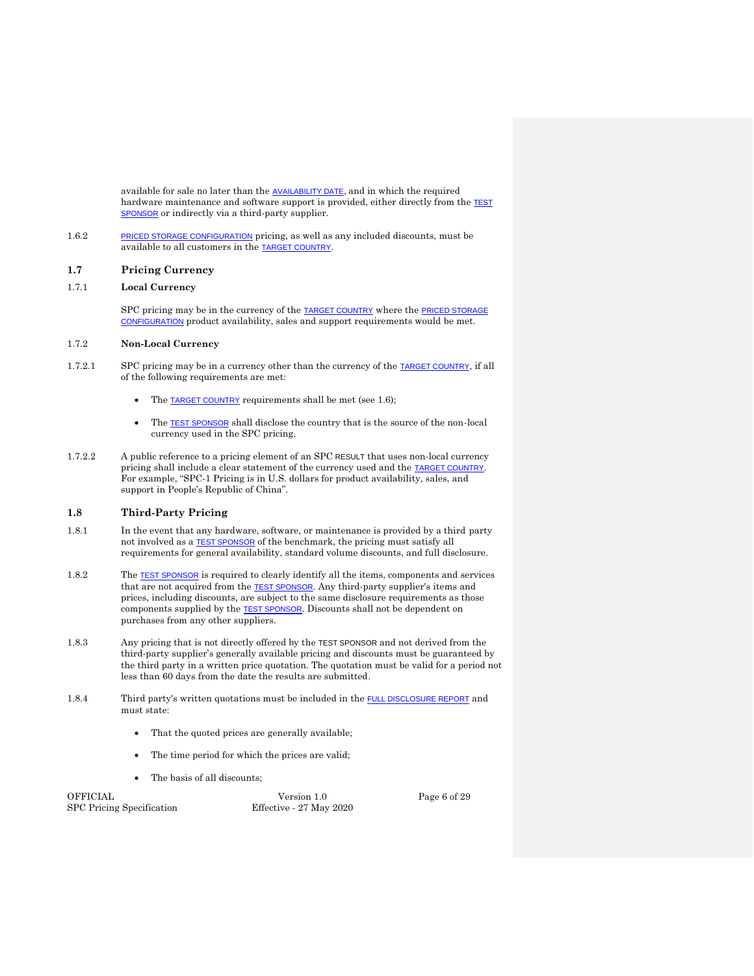available for sale no later than the AVAILABILITY DATE, and in which the required hardware maintenance and software support is provided, either directly from the TEST SPONSOR or indirectly via a third-party supplier.

1.6.2 PRICED STORAGE CONFIGURATION pricing, as well as any included discounts, must be available to all customers in the TARGET COUNTRY.

#### **1.7 Pricing Currency**

#### 1.7.1 **Local Currency**

SPC pricing may be in the currency of the TARGET COUNTRY where the PRICED STORAGE CONFIGURATION product availability, sales and support requirements would be met.

#### 1.7.2 **Non-Local Currency**

- 1.7.2.1 SPC pricing may be in a currency other than the currency of the TARGET COUNTRY, if all of the following requirements are met:
	- The **TARGET COUNTRY** requirements shall be met (see [1.6\)](#page-4-0);
	- The **TEST SPONSOR** shall disclose the country that is the source of the non-local currency used in the SPC pricing.
- 1.7.2.2 A public reference to a pricing element of an SPC RESULT that uses non-local currency pricing shall include a clear statement of the currency used and the TARGET COUNTRY. For example, "SPC-1 Pricing is in U.S. dollars for product availability, sales, and support in People's Republic of China".

### **1.8 Third-Party Pricing**

- 1.8.1 In the event that any hardware, software, or maintenance is provided by a third party not involved as a TEST SPONSOR of the benchmark, the pricing must satisfy all requirements for general availability, standard volume discounts, and full disclosure.
- 1.8.2 The TEST SPONSOR is required to clearly identify all the items, components and services that are not acquired from the TEST SPONSOR. Any third-party supplier's items and prices, including discounts, are subject to the same disclosure requirements as those components supplied by the TEST SPONSOR. Discounts shall not be dependent on purchases from any other suppliers.
- 1.8.3 Any pricing that is not directly offered by the TEST SPONSOR and not derived from the third-party supplier's generally available pricing and discounts must be guaranteed by the third party in a written price quotation. The quotation must be valid for a period not less than 60 days from the date the results are submitted.
- 1.8.4 Third party's written quotations must be included in the FULL DISCLOSURE REPORT and must state:
	- That the quoted prices are generally available;
	- The time period for which the prices are valid;
	- The basis of all discounts;

| OFFICIAL                         | Version 1.0             |
|----------------------------------|-------------------------|
| <b>SPC Pricing Specification</b> | Effective - 27 May 2020 |

Page 6 of 29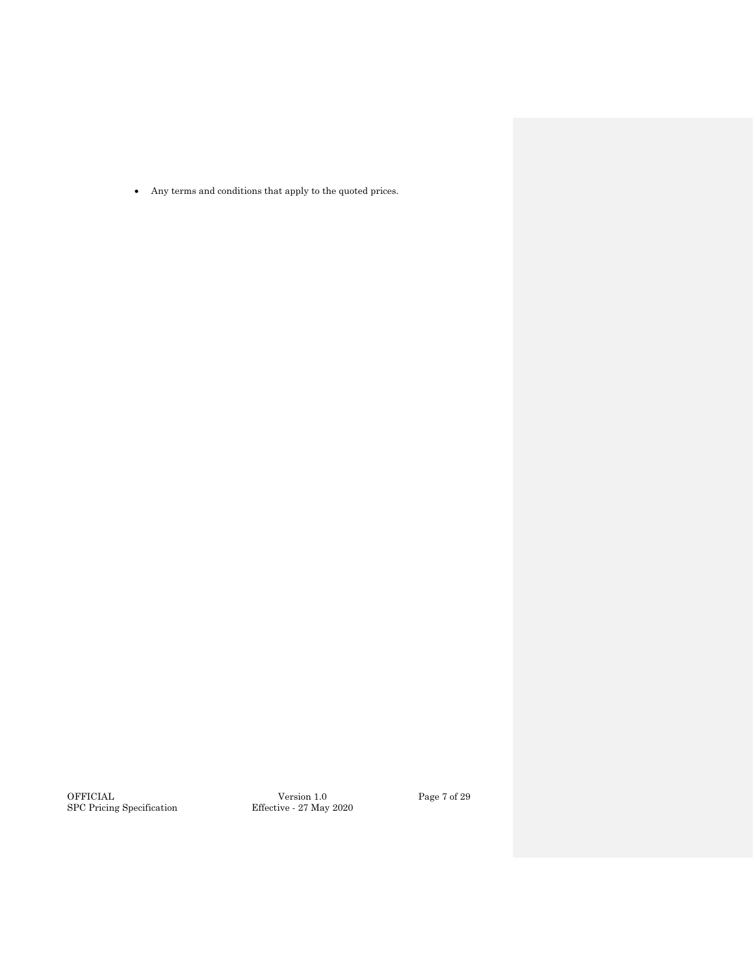• Any terms and conditions that apply to the quoted prices.

 $\begin{tabular}{ll} \bf OFFICIAL \end{tabular} \begin{tabular}{ll} \bf \end{tabular} \begin{tabular}{ll} \bf \end{tabular} \begin{tabular}{ll} \bf \end{tabular} \begin{tabular}{ll} \bf \end{tabular} \begin{tabular}{ll} \bf \end{tabular} \begin{tabular}{ll} \bf \end{tabular} \begin{tabular}{ll} \bf \end{tabular} \begin{tabular}{ll} \bf \end{tabular} \begin{tabular}{ll} \bf \end{tabular} \begin{tabular}{ll} \bf \end{tabular} \begin{tabular}{ll} \bf \end{tabular} \begin{tabular}{ll} \bf \end{tabular} \begin{tabular}{ll} \$  $SPC$  Pricing Specification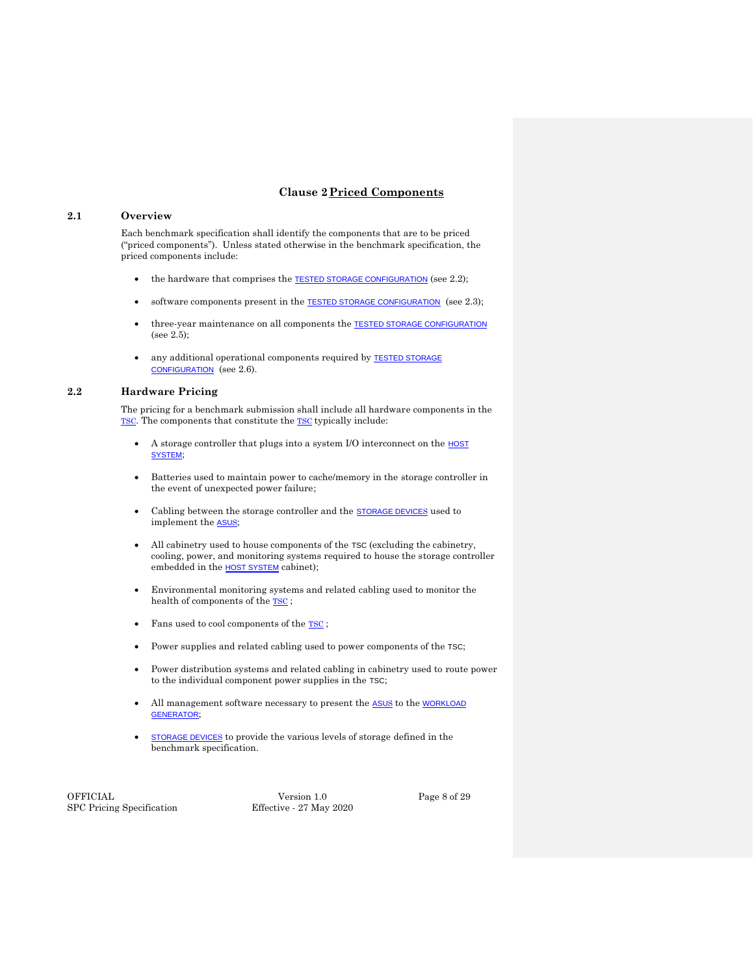# **Clause 2Priced Components**

# **2.1 Overview**

Each benchmark specification shall identify the components that are to be priced ("priced components"). Unless stated otherwise in the benchmark specification, the priced components include:

- the hardware that comprises the **TESTED STORAGE CONFIGURATION** (see [2.2\)](#page-7-0);
- software components present in the **TESTED STORAGE CONFIGURATION** (see [2.3\)](#page-8-0);
- three-year maintenance on all components the **TESTED STORAGE CONFIGURATION** (see [2.5\)](#page-9-0);
- any additional operational components required by **TESTED STORAGE** CONFIGURATION (see [2.6\)](#page-9-1).

# <span id="page-7-0"></span>**2.2 Hardware Pricing**

The pricing for a benchmark submission shall include all hardware components in the TSC. The components that constitute the TSC typically include:

- A storage controller that plugs into a system I/O interconnect on the HOST SYSTEM;
- Batteries used to maintain power to cache/memory in the storage controller in the event of unexpected power failure;
- Cabling between the storage controller and the STORAGE DEVICES used to implement the ASUS;
- All cabinetry used to house components of the TSC (excluding the cabinetry, cooling, power, and monitoring systems required to house the storage controller embedded in the **HOST SYSTEM** cabinet);
- Environmental monitoring systems and related cabling used to monitor the health of components of the TSC;
- Fans used to cool components of the TSC;
- Power supplies and related cabling used to power components of the TSC;
- Power distribution systems and related cabling in cabinetry used to route power to the individual component power supplies in the TSC;
- All management software necessary to present the ASUS to the WORKLOAD GENERATOR;
- STORAGE DEVICES to provide the various levels of storage defined in the benchmark specification.

OFFICIAL Version 1.0 Page 8 of 29<br>SPC Pricing Specification Effective - 27 May 2020 SPC Pricing Specification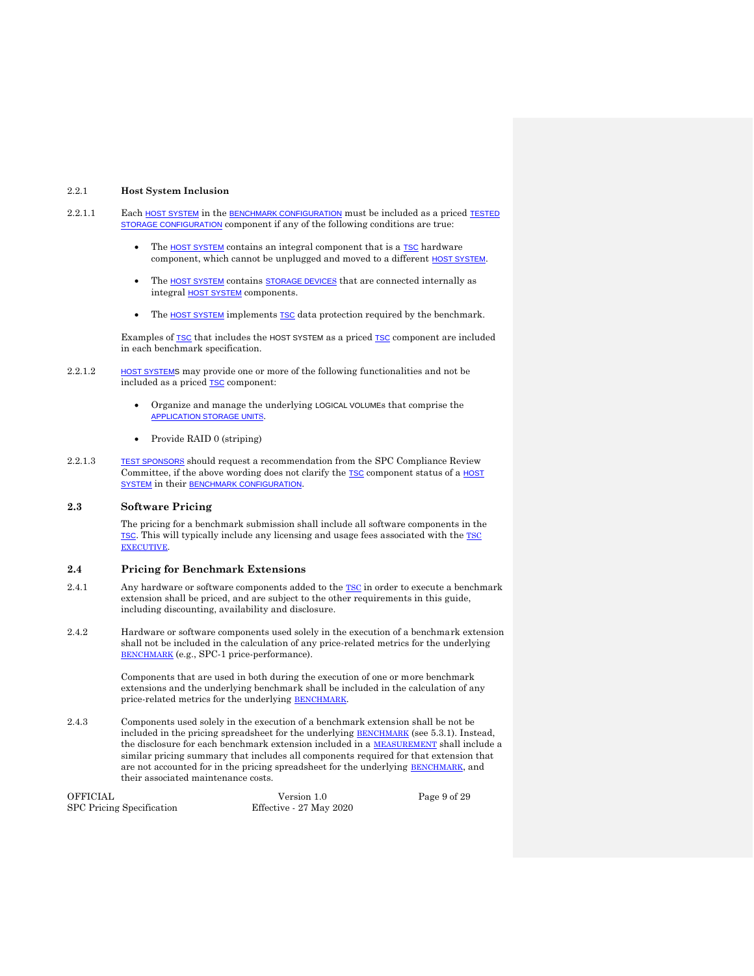### 2.2.1 **Host System Inclusion**

- 2.2.1.1 Each HOST SYSTEM in the [BENCHMARK CONFIGURATION](#page-22-0) must be included as a priced TESTED STORAGE CONFIGURATION component if any of the following conditions are true:
	- The HOST SYSTEM contains an integral component that is a TSC hardware component, which cannot be unplugged and moved to a different **HOST SYSTEM**.
	- The **HOST SYSTEM** contains **STORAGE DEVICES** that are connected internally as integral **HOST SYSTEM** components.
	- The HOST SYSTEM implements **TSC** data protection required by the benchmark.

Examples of TSC that includes the HOST SYSTEM as a priced TSC component are included in each benchmark specification.

- 2.2.1.2 HOST SYSTEMS may provide one or more of the following functionalities and not be included as a priced TSC component:
	- Organize and manage the underlying LOGICAL VOLUMEs that comprise the APPLICATION STORAGE UNITS.
	- Provide RAID 0 (striping)
- 2.2.1.3 TEST SPONSORS should request a recommendation from the SPC Compliance Review Committee, if the above wording does not clarify the **TSC** component status of a **HOST** SYSTEM in their [BENCHMARK CONFIGURATION](#page-22-0).

### <span id="page-8-0"></span>**2.3 Software Pricing**

The pricing for a benchmark submission shall include all software components in the TSC. This will typically include any licensing and usage fees associated with the TSC EXECUTIVE.

### **2.4 Pricing for Benchmark Extensions**

- 2.4.1 Any hardware or software components added to the [TSC](#page-27-0) in order to execute a benchmark extension shall be priced, and are subject to the other requirements in this guide, including discounting, availability and disclosure.
- 2.4.2 Hardware or software components used solely in the execution of a benchmark extension shall not be included in the calculation of any price-related metrics for the underlying BENCHMARK (e.g., SPC-1 price-performance).

Components that are used in both during the execution of one or more benchmark extensions and the underlying benchmark shall be included in the calculation of any price-related metrics for the underlying **BENCHMARK**.

2.4.3 Components used solely in the execution of a benchmark extension shall be not be included in the pricing spreadsheet for the underlying BENCHMARK (see [5.3.1\)](#page-12-0). Instead, the disclosure for each benchmark extension included in a [MEASUREMENT](#page-24-0) shall include a similar pricing summary that includes all components required for that extension that are not accounted for in the pricing spreadsheet for the underlying BENCHMARK, and their associated maintenance costs.

| OFFICIAL                  | Version 1.0             | Page 9 of 29 |
|---------------------------|-------------------------|--------------|
| SPC Pricing Specification | Effective - 27 May 2020 |              |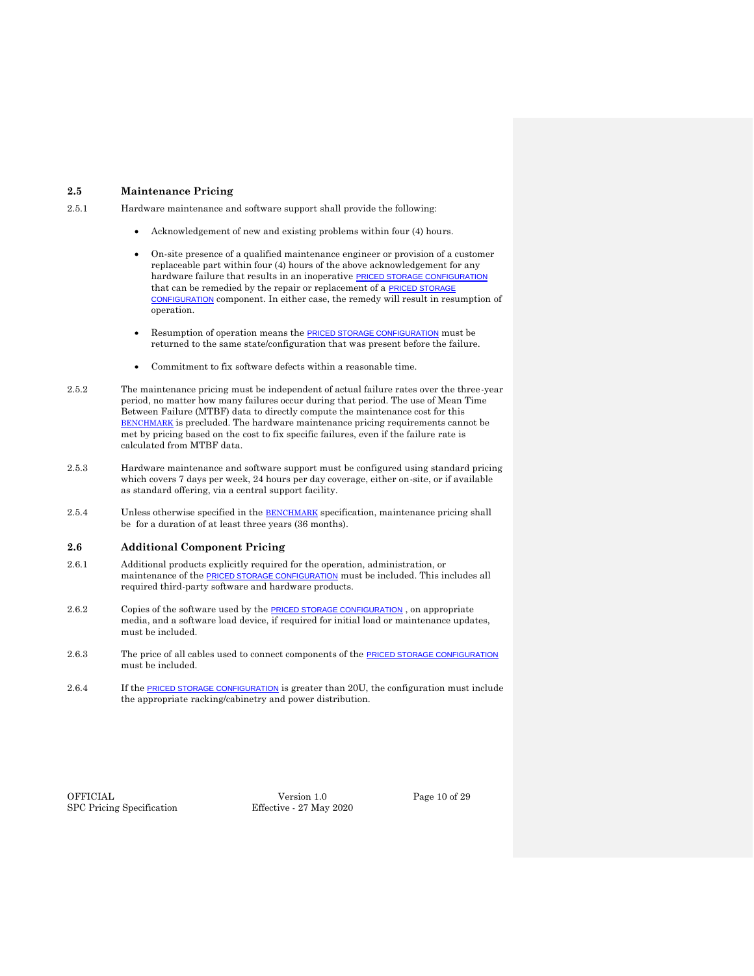### <span id="page-9-0"></span>**2.5 Maintenance Pricing**

2.5.1 Hardware maintenance and software support shall provide the following:

- Acknowledgement of new and existing problems within four (4) hours.
- On-site presence of a qualified maintenance engineer or provision of a customer replaceable part within four (4) hours of the above acknowledgement for any hardware failure that results in an inoperative PRICED STORAGE CONFIGURATION that can be remedied by the repair or replacement of a **PRICED STORAGE** CONFIGURATION component. In either case, the remedy will result in resumption of operation.
- Resumption of operation means the **PRICED STORAGE CONFIGURATION** must be returned to the same state/configuration that was present before the failure.
- Commitment to fix software defects within a reasonable time.
- 2.5.2 The maintenance pricing must be independent of actual failure rates over the three-year period, no matter how many failures occur during that period. The use of Mean Time Between Failure (MTBF) data to directly compute the maintenance cost for this BENCHMARK is precluded. The hardware maintenance pricing requirements cannot be met by pricing based on the cost to fix specific failures, even if the failure rate is calculated from MTBF data.
- 2.5.3 Hardware maintenance and software support must be configured using standard pricing which covers 7 days per week, 24 hours per day coverage, either on-site, or if available as standard offering, via a central support facility.
- 2.5.4 Unless otherwise specified in the BENCHMARK specification, maintenance pricing shall be for a duration of at least three years (36 months).

### <span id="page-9-1"></span>**2.6 Additional Component Pricing**

- 2.6.1 Additional products explicitly required for the operation, administration, or maintenance of the PRICED STORAGE CONFIGURATION must be included. This includes all required third-party software and hardware products.
- 2.6.2 Copies of the software used by the PRICED STORAGE CONFIGURATION, on appropriate media, and a software load device, if required for initial load or maintenance updates, must be included.
- 2.6.3 The price of all cables used to connect components of the PRICED STORAGE CONFIGURATION must be included.
- 2.6.4 If the **PRICED STORAGE CONFIGURATION** is greater than 20U, the configuration must include the appropriate racking/cabinetry and power distribution.

OFFICIAL Version 1.0 Page 10 of 29 SPC Pricing Specification Effective - 27 May 2020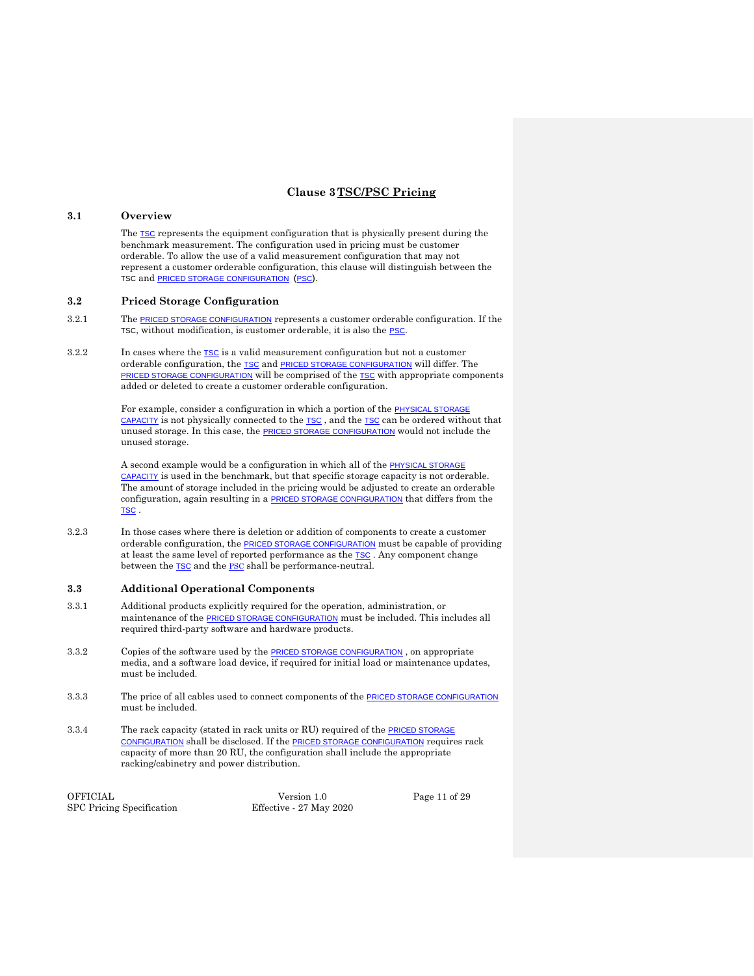### **Clause 3TSC/PSC Pricing**

### **3.1 Overview**

The TSC represents the equipment configuration that is physically present during the benchmark measurement. The configuration used in pricing must be customer orderable. To allow the use of a valid measurement configuration that may not represent a customer orderable configuration, this clause will distinguish between the TSC and **PRICED STORAGE CONFIGURATION** (PSC).

#### <span id="page-10-0"></span>**3.2 Priced Storage Configuration**

- 3.2.1 The PRICED STORAGE CONFIGURATION represents a customer orderable configuration. If the TSC, without modification, is customer orderable, it is also the **PSC**.
- 3.2.2 In cases where the TSC is a valid measurement configuration but not a customer orderable configuration, the **TSC** and **PRICED STORAGE CONFIGURATION** will differ. The PRICED STORAGE CONFIGURATION will be comprised of the TSC with appropriate components added or deleted to create a customer orderable configuration.

For example, consider a configuration in which a portion of the PHYSICAL STORAGE  $\underline{\textsf{CAPACITY}}$  is not physically connected to the<br>  $\underline{\textsf{TSC}}$  , and the  $\underline{\textsf{TSC}}$  can be ordered without that unused storage. In this case, the **PRICED STORAGE CONFIGURATION** would not include the unused storage.

A second example would be a configuration in which all of the PHYSICAL STORAGE CAPACITY is used in the benchmark, but that specific storage capacity is not orderable. The amount of storage included in the pricing would be adjusted to create an orderable configuration, again resulting in a **PRICED STORAGE CONFIGURATION** that differs from the TSC .

3.2.3 In those cases where there is deletion or addition of components to create a customer orderable configuration, the PRICED STORAGE CONFIGURATION must be capable of providing at least the same level of reported performance as the TSC . Any component change between the TSC and the PSC shall be performance-neutral.

### **3.3 Additional Operational Components**

- 3.3.1 Additional products explicitly required for the operation, administration, or maintenance of the PRICED STORAGE CONFIGURATION must be included. This includes all required third-party software and hardware products.
- 3.3.2 Copies of the software used by the PRICED STORAGE CONFIGURATION , on appropriate media, and a software load device, if required for initial load or maintenance updates, must be included.
- 3.3.3 The price of all cables used to connect components of the PRICED STORAGE CONFIGURATION must be included.
- 3.3.4 The rack capacity (stated in rack units or RU) required of the PRICED STORAGE CONFIGURATION shall be disclosed. If the PRICED STORAGE CONFIGURATION requires rack capacity of more than 20 RU, the configuration shall include the appropriate racking/cabinetry and power distribution.

OFFICIAL Version 1.0 Page 11 of 29 SPC Pricing Specification Effective - 27 May 2020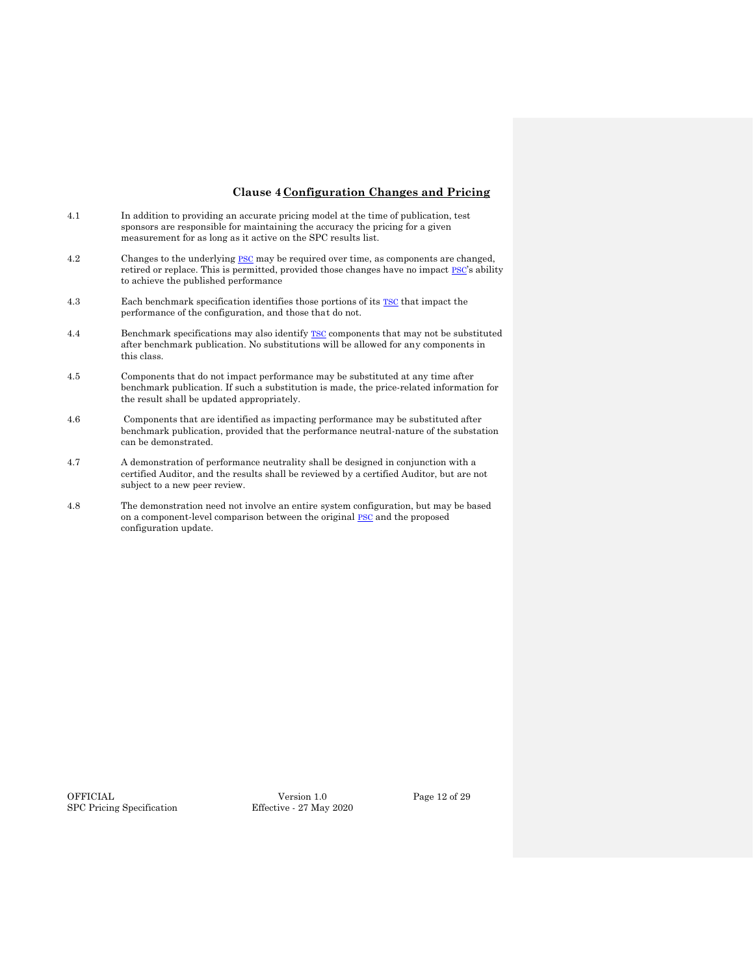# **Clause 4Configuration Changes and Pricing**

- 4.1 In addition to providing an accurate pricing model at the time of publication, test sponsors are responsible for maintaining the accuracy the pricing for a given measurement for as long as it active on the SPC results list.
- 4.2 Changes to the underlying **PSC** may be required over time, as components are changed, retired or replace. This is permitted, provided those changes have no impact PSC's ability to achieve the published performance
- 4.3 Each benchmark specification identifies those portions of its TSC that impact the performance of the configuration, and those that do not.
- 4.4 Benchmark specifications may also identify TSC components that may not be substituted after benchmark publication. No substitutions will be allowed for any components in this class.
- 4.5 Components that do not impact performance may be substituted at any time after benchmark publication. If such a substitution is made, the price-related information for the result shall be updated appropriately.
- 4.6 Components that are identified as impacting performance may be substituted after benchmark publication, provided that the performance neutral-nature of the substation can be demonstrated.
- 4.7 A demonstration of performance neutrality shall be designed in conjunction with a certified Auditor, and the results shall be reviewed by a certified Auditor, but are not subject to a new peer review.
- 4.8 The demonstration need not involve an entire system configuration, but may be based on a component-level comparison between the original **PSC** and the proposed configuration update.

OFFICIAL Version 1.0 Page 12 of 29<br>SPC Pricing Specification Effective - 27 May 2020 SPC Pricing Specification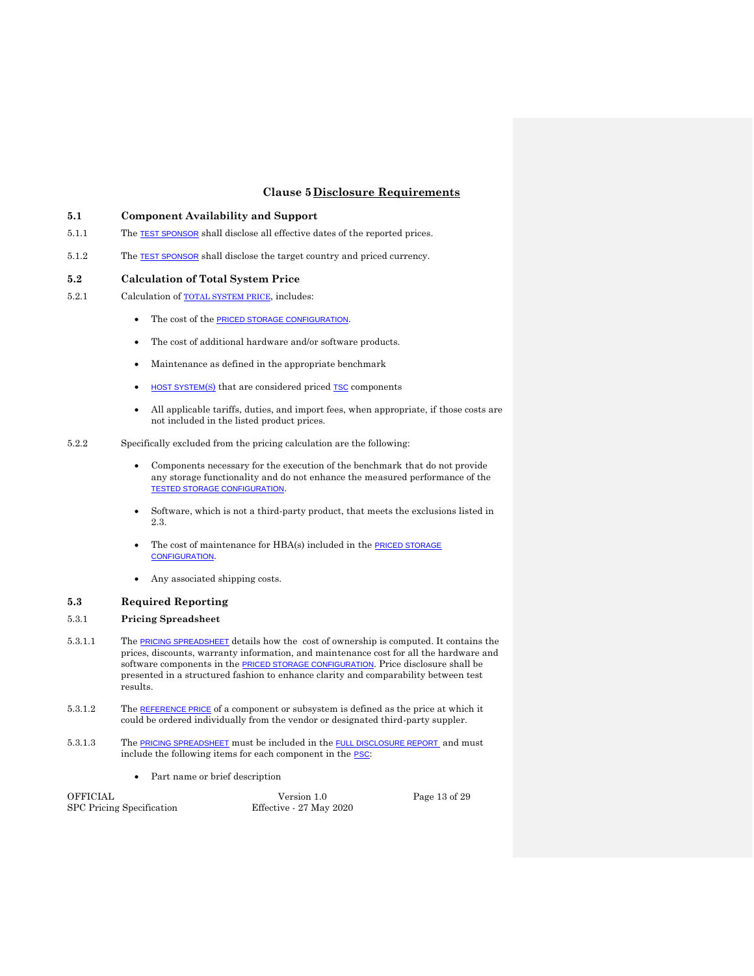## **Clause 5Disclosure Requirements**

### **5.1 Component Availability and Support**

- 5.1.1 The **TEST SPONSOR** shall disclose all effective dates of the reported prices.
- 5.1.2 The **TEST SPONSOR** shall disclose the target country and priced currency.

#### **5.2 Calculation of Total System Price**

- 5.2.1 Calculation of TOTAL SYSTEM PRICE, includes:
	- The cost of the **PRICED STORAGE CONFIGURATION**.
	- The cost of additional hardware and/or software products.
	- Maintenance as defined in the appropriate benchmark
	- HOST SYSTEM(S) that are considered priced TSC components
	- All applicable tariffs, duties, and import fees, when appropriate, if those costs are not included in the listed product prices.
- 5.2.2 Specifically excluded from the pricing calculation are the following:
	- Components necessary for the execution of the benchmark that do not provide any storage functionality and do not enhance the measured performance of the TESTED STORAGE CONFIGURATION.
	- Software, which is not a third-party product, that meets the exclusions listed in [2.3.](#page-8-0)
	- The cost of maintenance for HBA(s) included in the **PRICED STORAGE** CONFIGURATION.
	- Any associated shipping costs.

### **5.3 Required Reporting**

#### <span id="page-12-0"></span>5.3.1 **Pricing Spreadsheet**

- 5.3.1.1 The PRICING SPREADSHEET details how the cost of ownership is computed. It contains the prices, discounts, warranty information, and maintenance cost for all the hardware and software components in the PRICED STORAGE CONFIGURATION. Price disclosure shall be presented in a structured fashion to enhance clarity and comparability between test results.
- 5.3.1.2 The REFERENCE PRICE of a component or subsystem is defined as the price at which it could be ordered individually from the vendor or designated third-party suppler.
- 5.3.1.3 The PRICING SPREADSHEET must be included in the FULL DISCLOSURE REPORT and must include the following items for each component in the PSC:
	- Part name or brief description

| OFFICIAL                  | Version 1.0             | Page 13 of 29 |
|---------------------------|-------------------------|---------------|
| SPC Pricing Specification | Effective - 27 May 2020 |               |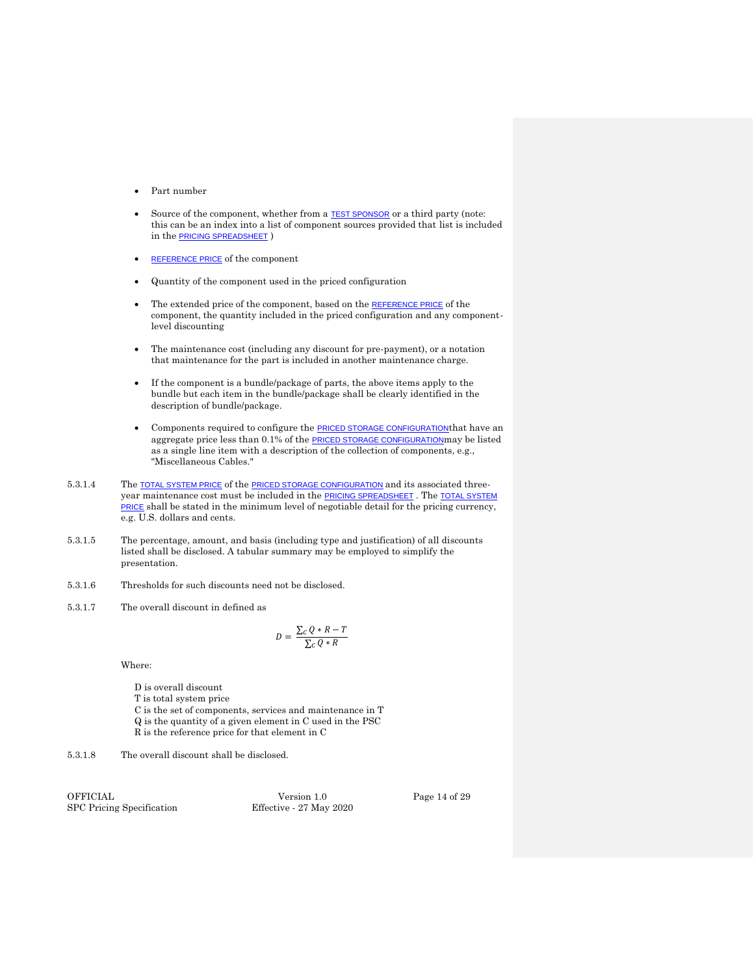- Part number
- Source of the component, whether from a **TEST SPONSOR** or a third party (note: this can be an index into a list of component sources provided that list is included in the **PRICING SPREADSHEET** )
- REFERENCE PRICE</u> of the component
- Quantity of the component used in the priced configuration
- The extended price of the component, based on the REFERENCE PRICE of the component, the quantity included in the priced configuration and any componentlevel discounting
- The maintenance cost (including any discount for pre-payment), or a notation that maintenance for the part is included in another maintenance charge.
- If the component is a bundle/package of parts, the above items apply to the bundle but each item in the bundle/package shall be clearly identified in the description of bundle/package.
- Components required to configure the **PRICED STORAGE CONFIGURATION** that have an aggregate price less than 0.1% of the PRICED STORAGE CONFIGURATIONmay be listed as a single line item with a description of the collection of components, e.g., "Miscellaneous Cables."
- 5.3.1.4 The TOTAL SYSTEM PRICE of the PRICED STORAGE CONFIGURATION and its associated threeyear maintenance cost must be included in the **PRICING SPREADSHEET**. The TOTAL SYSTEM PRICE shall be stated in the minimum level of negotiable detail for the pricing currency, e.g. U.S. dollars and cents.
- 5.3.1.5 The percentage, amount, and basis (including type and justification) of all discounts listed shall be disclosed. A tabular summary may be employed to simplify the presentation.
- 5.3.1.6 Thresholds for such discounts need not be disclosed.
- 5.3.1.7 The overall discount in defined as

$$
D = \frac{\sum_{C} Q * R - T}{\sum_{C} Q * R}
$$

Where:

D is overall discount T is total system price C is the set of components, services and maintenance in T Q is the quantity of a given element in C used in the PSC R is the reference price for that element in C

5.3.1.8 The overall discount shall be disclosed.

OFFICIAL Version 1.0 Page 14 of 29<br>SPC Pricing Specification Effective - 27 May 2020 SPC Pricing Specification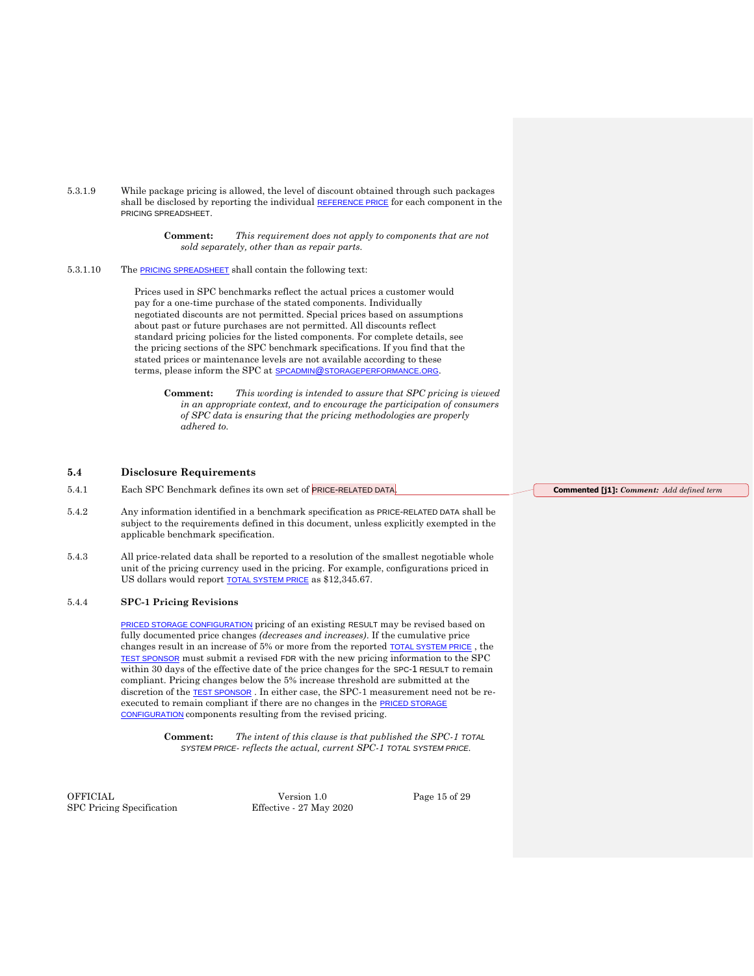5.3.1.9 While package pricing is allowed, the level of discount obtained through such packages shall be disclosed by reporting the individual REFERENCE PRICE for each component in the PRICING SPREADSHEET.

> **Comment:** *This requirement does not apply to components that are not sold separately, other than as repair parts.*

5.3.1.10 The **PRICING SPREADSHEET** shall contain the following text:

Prices used in SPC benchmarks reflect the actual prices a customer would pay for a one-time purchase of the stated components. Individually negotiated discounts are not permitted. Special prices based on assumptions about past or future purchases are not permitted. All discounts reflect standard pricing policies for the listed components. For complete details, see the pricing sections of the SPC benchmark specifications. If you find that the stated prices or maintenance levels are not available according to these terms, please inform the SPC at **SPCADMIN@[STORAGEPERFORMANCE](mailto:spcadmin@storageperformance.org).ORG.** 

**Comment:** *This wording is intended to assure that SPC pricing is viewed in an appropriate context, and to encourage the participation of consumers of SPC data is ensuring that the pricing methodologies are properly adhered to.*

#### **5.4 Disclosure Requirements**

- 5.4.1 Each SPC Benchmark defines its own set of PRICE-RELATED DATA.
- 5.4.2 Any information identified in a benchmark specification as PRICE-RELATED DATA shall be subject to the requirements defined in this document, unless explicitly exempted in the applicable benchmark specification.
- 5.4.3 All price-related data shall be reported to a resolution of the smallest negotiable whole unit of the pricing currency used in the pricing. For example, configurations priced in US dollars would report TOTAL SYSTEM PRICE as \$12,345.67.

#### 5.4.4 **SPC-1 Pricing Revisions**

PRICED STORAGE CONFIGURATION pricing of an existing RESULT may be revised based on fully documented price changes *(decreases and increases)*. If the cumulative price changes result in an increase of 5% or more from the reported TOTAL SYSTEM PRICE , the TEST SPONSOR must submit a revised FDR with the new pricing information to the SPC within 30 days of the effective date of the price changes for the SPC-1 RESULT to remain compliant. Pricing changes below the 5% increase threshold are submitted at the discretion of the **TEST SPONSOR** . In either case, the SPC-1 measurement need not be reexecuted to remain compliant if there are no changes in the PRICED STORAGE CONFIGURATION components resulting from the revised pricing.

> **Comment:** *The intent of this clause is that published the SPC-1 TOTAL SYSTEM PRICE- reflects the actual, current SPC-1 TOTAL SYSTEM PRICE.*

OFFICIAL Version 1.0 Page 15 of 29 SPC Pricing Specification Effective - 27 May 2020

**Commented [j1]:** *Comment: Add defined term*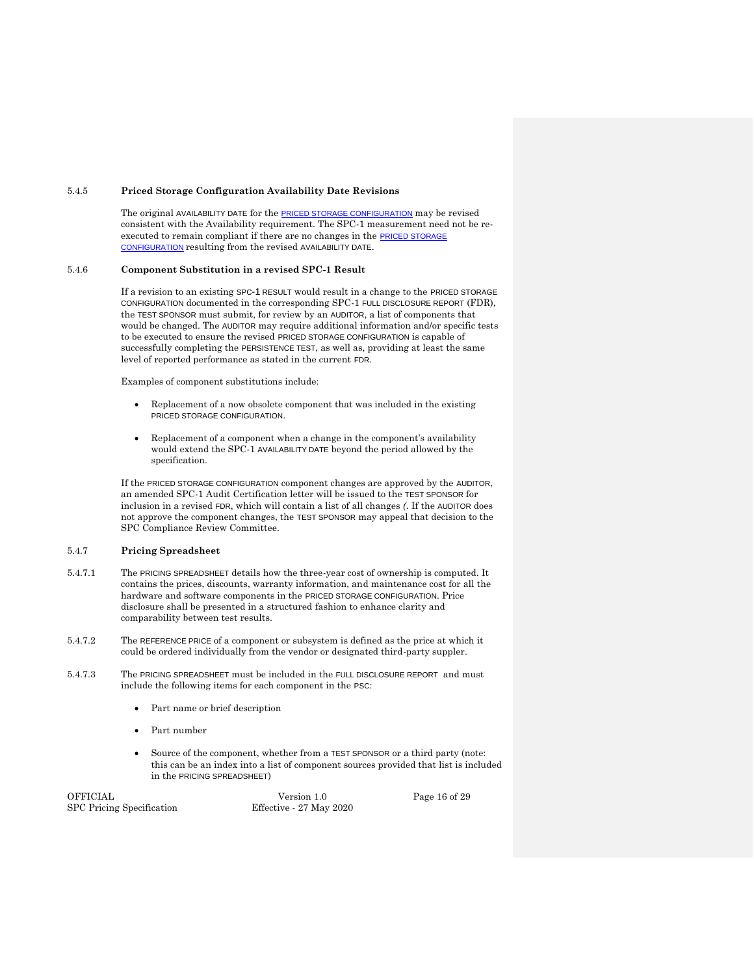#### 5.4.5 **Priced Storage Configuration Availability Date Revisions**

The original AVAILABILITY DATE for the **PRICED STORAGE CONFIGURATION** may be revised consistent with the Availability requirement. The SPC-1 measurement need not be reexecuted to remain compliant if there are no changes in the PRICED STORAGE CONFIGURATION resulting from the revised AVAILABILITY DATE.

#### 5.4.6 **Component Substitution in a revised SPC-1 Result**

If a revision to an existing SPC-1 RESULT would result in a change to the PRICED STORAGE CONFIGURATION documented in the corresponding SPC-1 FULL DISCLOSURE REPORT (FDR), the TEST SPONSOR must submit, for review by an AUDITOR, a list of components that would be changed. The AUDITOR may require additional information and/or specific tests to be executed to ensure the revised PRICED STORAGE CONFIGURATION is capable of successfully completing the PERSISTENCE TEST, as well as, providing at least the same level of reported performance as stated in the current FDR.

Examples of component substitutions include:

- Replacement of a now obsolete component that was included in the existing PRICED STORAGE CONFIGURATION.
- Replacement of a component when a change in the component's availability would extend the SPC-1 AVAILABILITY DATE beyond the period allowed by the specification.

If the PRICED STORAGE CONFIGURATION component changes are approved by the AUDITOR, an amended SPC-1 Audit Certification letter will be issued to the TEST SPONSOR for inclusion in a revised FDR, which will contain a list of all changes *(*. If the AUDITOR does not approve the component changes, the TEST SPONSOR may appeal that decision to the SPC Compliance Review Committee.

#### 5.4.7 **Pricing Spreadsheet**

- 5.4.7.1 The PRICING SPREADSHEET details how the three-year cost of ownership is computed. It contains the prices, discounts, warranty information, and maintenance cost for all the hardware and software components in the PRICED STORAGE CONFIGURATION. Price disclosure shall be presented in a structured fashion to enhance clarity and comparability between test results.
- <span id="page-15-0"></span>5.4.7.2 The REFERENCE PRICE of a component or subsystem is defined as the price at which it could be ordered individually from the vendor or designated third-party suppler.
- 5.4.7.3 The PRICING SPREADSHEET must be included in the FULL DISCLOSURE REPORT and must include the following items for each component in the PSC:
	- Part name or brief description
	- Part number
	- Source of the component, whether from a TEST SPONSOR or a third party (note: this can be an index into a list of component sources provided that list is included in the PRICING SPREADSHEET)

OFFICIAL Version 1.0 Page 16 of 29 SPC Pricing Specification Effective - 27 May 2020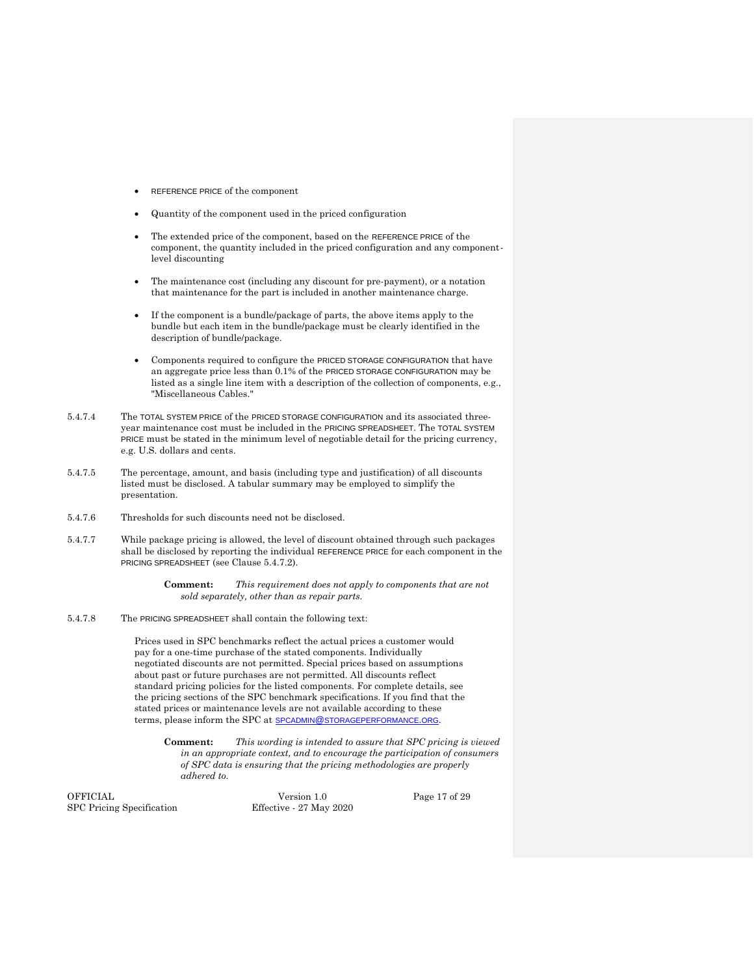- REFERENCE PRICE of the component
- Quantity of the component used in the priced configuration
- The extended price of the component, based on the REFERENCE PRICE of the component, the quantity included in the priced configuration and any componentlevel discounting
- The maintenance cost (including any discount for pre-payment), or a notation that maintenance for the part is included in another maintenance charge.
- If the component is a bundle/package of parts, the above items apply to the bundle but each item in the bundle/package must be clearly identified in the description of bundle/package.
- Components required to configure the PRICED STORAGE CONFIGURATION that have an aggregate price less than 0.1% of the PRICED STORAGE CONFIGURATION may be listed as a single line item with a description of the collection of components, e.g., "Miscellaneous Cables."
- 5.4.7.4 The TOTAL SYSTEM PRICE of the PRICED STORAGE CONFIGURATION and its associated threeyear maintenance cost must be included in the PRICING SPREADSHEET. The TOTAL SYSTEM PRICE must be stated in the minimum level of negotiable detail for the pricing currency, e.g. U.S. dollars and cents.
- 5.4.7.5 The percentage, amount, and basis (including type and justification) of all discounts listed must be disclosed. A tabular summary may be employed to simplify the presentation.
- 5.4.7.6 Thresholds for such discounts need not be disclosed.
- 5.4.7.7 While package pricing is allowed, the level of discount obtained through such packages shall be disclosed by reporting the individual REFERENCE PRICE for each component in the PRICING SPREADSHEET (see Clause [5.4.7.2\)](#page-15-0).

**Comment:** *This requirement does not apply to components that are not sold separately, other than as repair parts.*

5.4.7.8 The PRICING SPREADSHEET shall contain the following text:

Prices used in SPC benchmarks reflect the actual prices a customer would pay for a one-time purchase of the stated components. Individually negotiated discounts are not permitted. Special prices based on assumptions about past or future purchases are not permitted. All discounts reflect standard pricing policies for the listed components. For complete details, see the pricing sections of the SPC benchmark specifications. If you find that the stated prices or maintenance levels are not available according to these terms, please inform the SPC at SPCADMIN@[STORAGEPERFORMANCE](mailto:spcadmin@storageperformance.org).ORG.

**Comment:** *This wording is intended to assure that SPC pricing is viewed in an appropriate context, and to encourage the participation of consumers of SPC data is ensuring that the pricing methodologies are properly adhered to.*

OFFICIAL Version 1.0 Page 17 of 29 SPC Pricing Specification Effective - 27 May 2020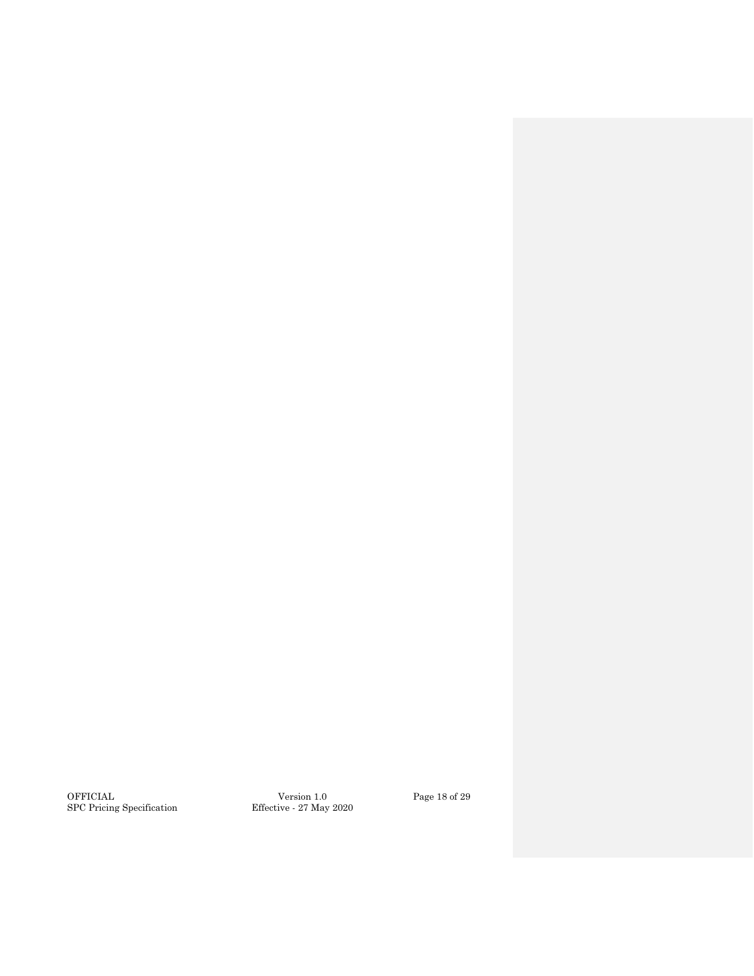OFFICIAL Version 1.0 Page 18 of 29 SPC Pricing Specification

- 27 May 2020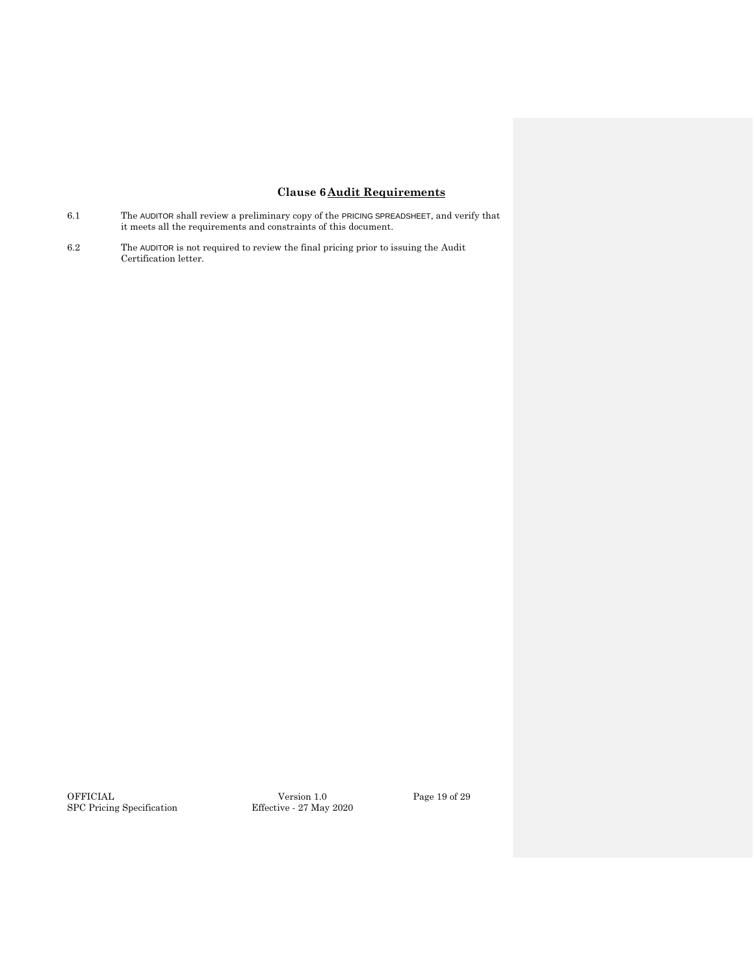# **Clause 6Audit Requirements**

- 6.1 The AUDITOR shall review a preliminary copy of the PRICING SPREADSHEET, and verify that it meets all the requirements and constraints of this document.
- 6.2 The AUDITOR is not required to review the final pricing prior to issuing the Audit Certification letter.

 $\begin{tabular}{ll} \bf{OFFICIAL} & \bf{Version 1.0} & \bf{Page 19 of 29}\\ \bf{SPC Pricing Specification} & \bf{Effective \cdot 27 May 2020} & \bf{Page 19 of 29}\\ \end{tabular}$  ${\rm SPC}$  Pricing Specification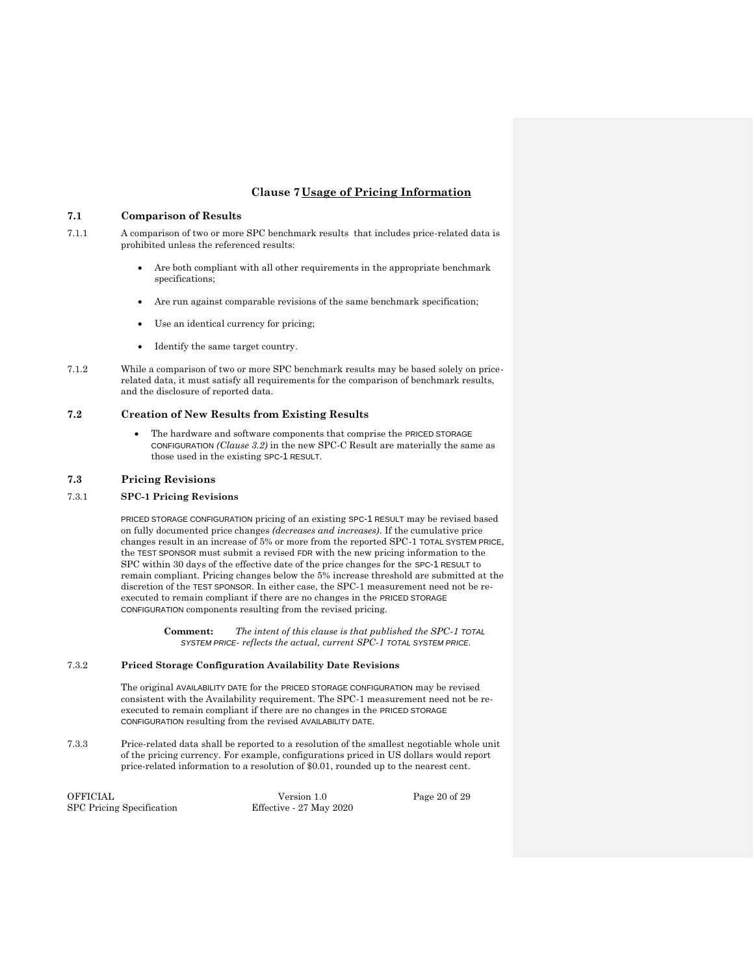# **Clause 7Usage of Pricing Information**

### **7.1 Comparison of Results**

7.1.1 A comparison of two or more SPC benchmark results that includes price-related data is prohibited unless the referenced results:

- Are both compliant with all other requirements in the appropriate benchmark specifications;
- Are run against comparable revisions of the same benchmark specification;
- Use an identical currency for pricing;
- Identify the same target country.
- 7.1.2 While a comparison of two or more SPC benchmark results may be based solely on pricerelated data, it must satisfy all requirements for the comparison of benchmark results, and the disclosure of reported data.

### **7.2 Creation of New Results from Existing Results**

• The hardware and software components that comprise the PRICED STORAGE CONFIGURATION *(Clause [3.2\)](#page-10-0)* in the new SPC-C Result are materially the same as those used in the existing SPC-1 RESULT.

## **7.3 Pricing Revisions**

#### 7.3.1 **SPC-1 Pricing Revisions**

PRICED STORAGE CONFIGURATION pricing of an existing SPC-1 RESULT may be revised based on fully documented price changes *(decreases and increases)*. If the cumulative price changes result in an increase of 5% or more from the reported SPC-1 TOTAL SYSTEM PRICE, the TEST SPONSOR must submit a revised FDR with the new pricing information to the SPC within 30 days of the effective date of the price changes for the SPC-1 RESULT to remain compliant. Pricing changes below the 5% increase threshold are submitted at the discretion of the TEST SPONSOR. In either case, the SPC-1 measurement need not be reexecuted to remain compliant if there are no changes in the PRICED STORAGE CONFIGURATION components resulting from the revised pricing.

> **Comment:** *The intent of this clause is that published the SPC-1 TOTAL SYSTEM PRICE- reflects the actual, current SPC-1 TOTAL SYSTEM PRICE.*

### 7.3.2 **Priced Storage Configuration Availability Date Revisions**

The original AVAILABILITY DATE for the PRICED STORAGE CONFIGURATION may be revised consistent with the Availability requirement. The SPC-1 measurement need not be reexecuted to remain compliant if there are no changes in the PRICED STORAGE CONFIGURATION resulting from the revised AVAILABILITY DATE.

7.3.3 Price-related data shall be reported to a resolution of the smallest negotiable whole unit of the pricing currency. For example, configurations priced in US dollars would report price-related information to a resolution of \$0.01, rounded up to the nearest cent.

OFFICIAL Version 1.0 Page 20 of 29 SPC Pricing Specification Effective - 27 May 2020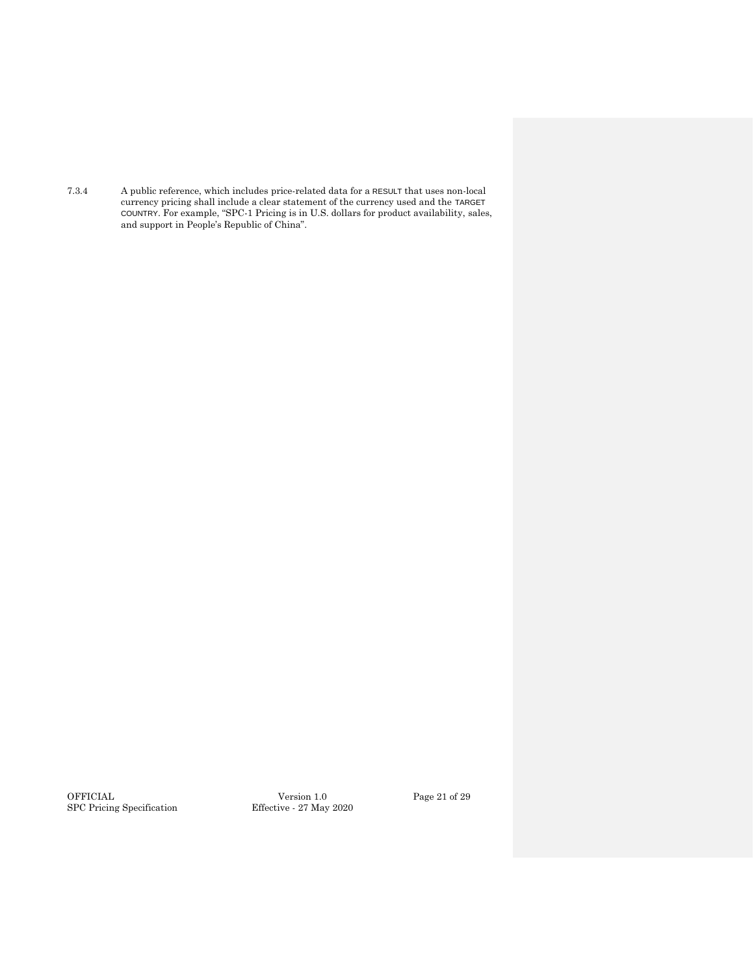7.3.4 A public reference, which includes price-related data for a RESULT that uses non-local currency pricing shall include a clear statement of the currency used and the TARGET COUNTRY. For example, "SPC-1 Pricing is in U.S. dollars for product availability, sales, and support in People's Republic of China".

OFFICIAL Version 1.0 Page 21 of 29  ${\rm SPC}$  Pricing Specification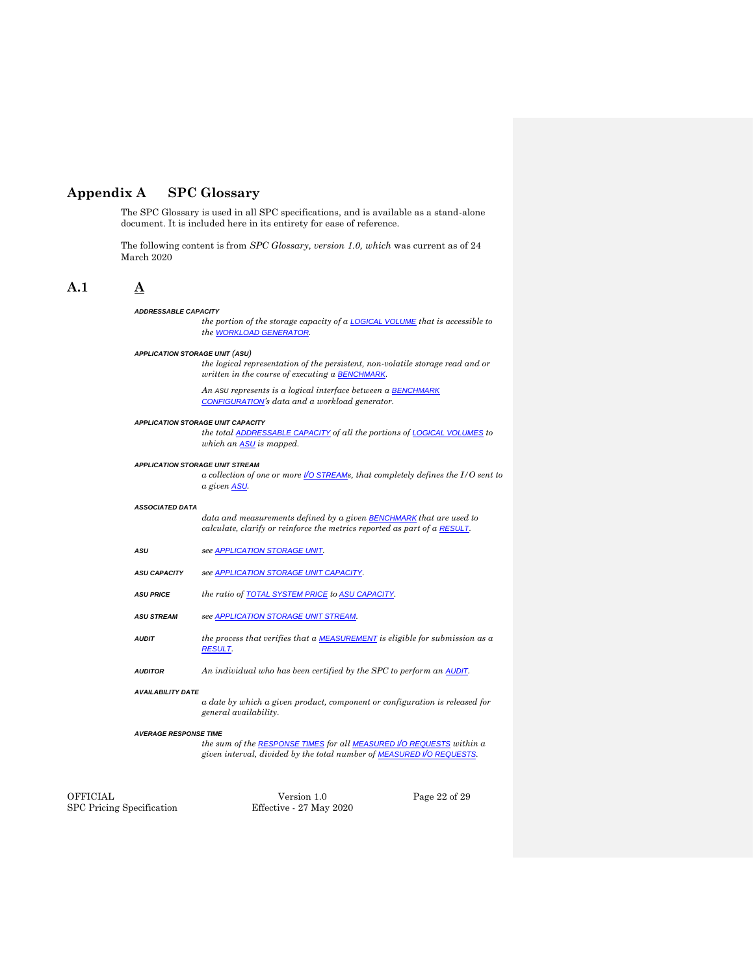# <span id="page-21-0"></span>**Appendix A SPC Glossary**

The SPC Glossary is used in all SPC specifications, and is available as a stand-alone document. It is included here in its entirety for ease of reference.

The following content is from *SPC Glossary, version 1.0, which* was current as of 24 March 2020

# **A.1 A**

#### *ADDRESSABLE CAPACITY*

*the portion of the storage capacity of a LOGICAL VOLUME that is accessible to the WORKLOAD GENERATOR.*

#### *APPLICATION STORAGE UNIT (ASU)*

*the logical representation of the persistent, non-volatile storage read and or written in the course of executing a BENCHMARK.*

*An ASU represents is a logical interface between a BENCHMARK CONFIGURATION's data and a workload generator.*

#### *APPLICATION STORAGE UNIT CAPACITY*

*the total ADDRESSABLE CAPACITY of all the portions of LOGICAL VOLUMES to which an ASU is mapped.*

#### *APPLICATION STORAGE UNIT STREAM*

*a collection of one or more I/O STREAMs, that completely defines the I/O sent to a given ASU.*

#### *ASSOCIATED DATA*

| ED DA I A |                                                                            |
|-----------|----------------------------------------------------------------------------|
|           | data and measurements defined by a given <b>BENCHMARK</b> that are used to |
|           | calculate, clarify or reinforce the metrics reported as part of a RESULT.  |
|           |                                                                            |

- *ASU see APPLICATION STORAGE UNIT.*
- *ASU CAPACITY see APPLICATION STORAGE UNIT CAPACITY.*

| <b>ASU PRICE</b> |  | the ratio of TOTAL SYSTEM PRICE to ASU CAPACITY. |  |  |
|------------------|--|--------------------------------------------------|--|--|
|------------------|--|--------------------------------------------------|--|--|

- *ASU STREAM see APPLICATION STORAGE UNIT STREAM.*
- *AUDIT the process that verifies that a [MEASUREMENT](#page-24-0) is eligible for submission as a RESULT.*
- *AUDITOR An individual who has been certified by the SPC to perform an AUDIT.*

#### *AVAILABILITY DATE*

*a date by which a given product, component or configuration is released for general availability.*

#### *AVERAGE RESPONSE TIME*

*the sum of the RESPONSE TIMES for all MEASURED I/O REQUESTS within a given interval, divided by the total number of MEASURED I/O REQUESTS.*

OFFICIAL Version 1.0 Page 22 of 29 SPC Pricing Specification Effective - 27 May 2020 SPC Pricing Specification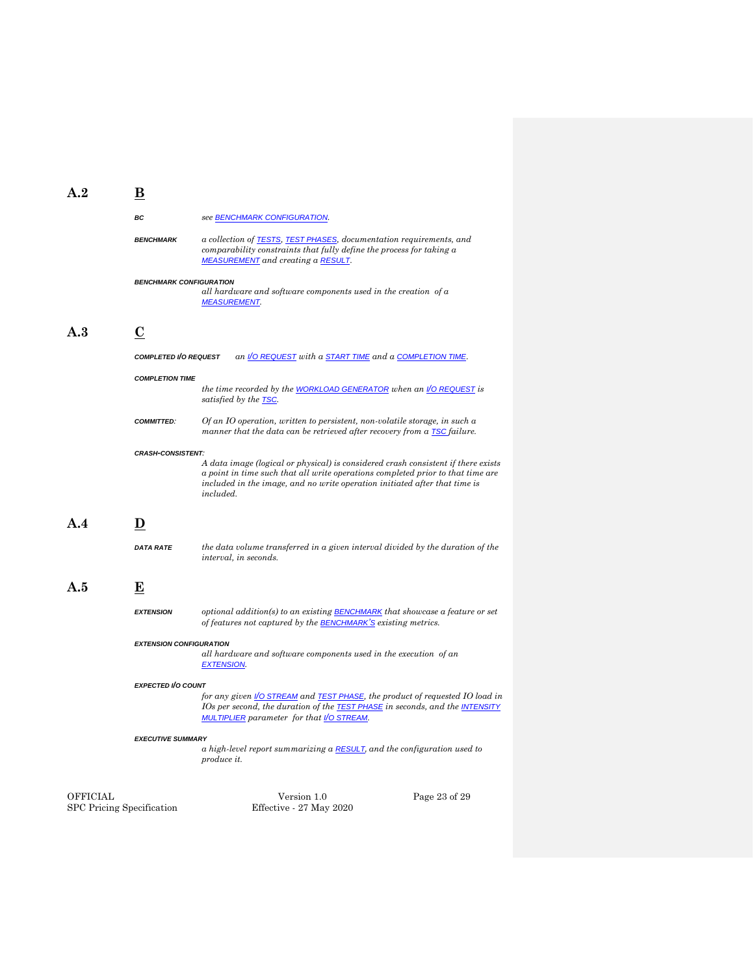# **A.2 B**

<span id="page-22-1"></span><span id="page-22-0"></span>

|                                       | вc                             | see BENCHMARK CONFIGURATION.                                                                                                                                                                                                                                           |               |  |  |
|---------------------------------------|--------------------------------|------------------------------------------------------------------------------------------------------------------------------------------------------------------------------------------------------------------------------------------------------------------------|---------------|--|--|
|                                       | <b>BENCHMARK</b>               | a collection of TESTS, TEST PHASES, documentation requirements, and<br>comparability constraints that fully define the process for taking a<br><b>MEASUREMENT</b> and creating a RESULT.                                                                               |               |  |  |
|                                       | <b>BENCHMARK CONFIGURATION</b> | all hardware and software components used in the creation of a<br><b>MEASUREMENT.</b>                                                                                                                                                                                  |               |  |  |
| A.3                                   | $\bf C$                        |                                                                                                                                                                                                                                                                        |               |  |  |
|                                       | <b>COMPLETED I/O REQUEST</b>   | an <i>I/O REQUEST with a START TIME and a COMPLETION TIME</i> .                                                                                                                                                                                                        |               |  |  |
|                                       | <b>COMPLETION TIME</b>         | the time recorded by the WORKLOAD GENERATOR when an <i>VOREQUEST</i> is<br>satisfied by the TSC.                                                                                                                                                                       |               |  |  |
|                                       | <b>COMMITTED:</b>              | Of an IO operation, written to persistent, non-volatile storage, in such a<br>manner that the data can be retrieved after recovery from a <b>TSC</b> failure.                                                                                                          |               |  |  |
|                                       | <b>CRASH-CONSISTENT:</b>       | A data image (logical or physical) is considered crash consistent if there exists<br>a point in time such that all write operations completed prior to that time are<br>included in the image, and no write operation initiated after that time is<br><i>included.</i> |               |  |  |
| A.4                                   | D                              |                                                                                                                                                                                                                                                                        |               |  |  |
|                                       | <b>DATA RATE</b>               | the data volume transferred in a given interval divided by the duration of the<br>interval, in seconds.                                                                                                                                                                |               |  |  |
| A.5                                   | E                              |                                                                                                                                                                                                                                                                        |               |  |  |
|                                       | <b>EXTENSION</b>               | optional addition(s) to an existing <b>BENCHMARK</b> that showcase a feature or set<br>of features not captured by the <b>BENCHMARK'S</b> existing metrics.                                                                                                            |               |  |  |
|                                       | <b>EXTENSION CONFIGURATION</b> |                                                                                                                                                                                                                                                                        |               |  |  |
|                                       |                                | all hardware and software components used in the execution of an<br><b>EXTENSION.</b>                                                                                                                                                                                  |               |  |  |
|                                       | <b>EXPECTED I/O COUNT</b>      |                                                                                                                                                                                                                                                                        |               |  |  |
| <b>EXECUTIVE SUMMARY</b>              |                                | for any given <i>I/O STREAM</i> and <i>TEST PHASE</i> , the product of requested IO load in<br>IOs per second, the duration of the <b>TEST PHASE</b> in seconds, and the <b>INTENSITY</b><br><b>MULTIPLIER</b> parameter for that <b>I/O STREAM</b> .                  |               |  |  |
|                                       |                                | $\alpha$ high-level report summarizing $\alpha$ RESULT, and the configuration used to<br>produce it.                                                                                                                                                                   |               |  |  |
| OFFICIAL<br>SPC Pricing Specification |                                | Version 1.0<br>Effective - 27 May 2020                                                                                                                                                                                                                                 | Page 23 of 29 |  |  |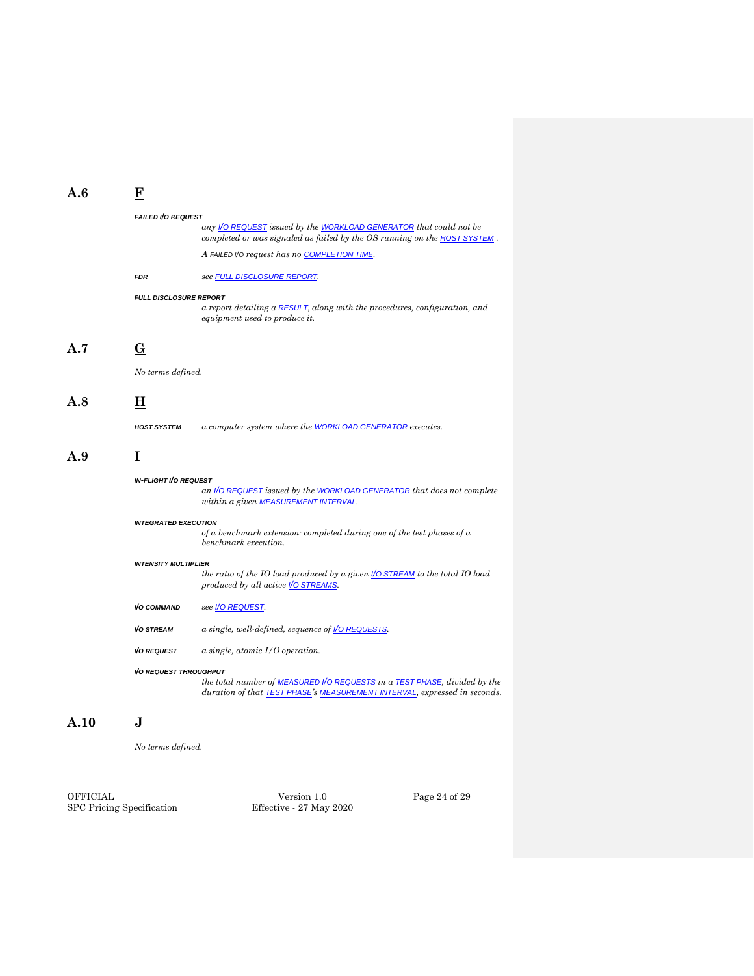# **A.6 F**

<span id="page-23-1"></span>

|     | <b>FAILED I/O REQUEST</b>     |                                                                                                                                                        |
|-----|-------------------------------|--------------------------------------------------------------------------------------------------------------------------------------------------------|
|     |                               | any I/O REQUEST issued by the WORKLOAD GENERATOR that could not be<br>completed or was signaled as failed by the OS running on the HOST SYSTEM.        |
|     |                               | A FAILED I/O request has no COMPLETION TIME.                                                                                                           |
|     | <b>FDR</b>                    | see FULL DISCLOSURE REPORT.                                                                                                                            |
|     | <b>FULL DISCLOSURE REPORT</b> | a report detailing a <b>RESULT</b> , along with the procedures, configuration, and<br>equipment used to produce it.                                    |
| A.7 | G                             |                                                                                                                                                        |
|     | No terms defined.             |                                                                                                                                                        |
| A.8 | H                             |                                                                                                                                                        |
|     | <b>HOST SYSTEM</b>            | a computer system where the WORKLOAD GENERATOR executes.                                                                                               |
| A.9 | I                             |                                                                                                                                                        |
|     | <b>IN-FLIGHT I/O REQUEST</b>  | an I/O REQUEST issued by the WORKLOAD GENERATOR that does not complete<br>within a given <b>MEASUREMENT INTERVAL</b> .                                 |
|     | <b>INTEGRATED EXECUTION</b>   | of a benchmark extension: completed during one of the test phases of $a$<br>benchmark execution.                                                       |
|     | <b>INTENSITY MULTIPLIER</b>   | the ratio of the IO load produced by a given $\sqrt{O}$ STREAM to the total IO load<br>produced by all active <b>I/O STREAMS</b> .                     |
|     | I/O COMMAND                   | see I/O REQUEST.                                                                                                                                       |
|     | <b>I/O STREAM</b>             | a single, well-defined, sequence of $\sqrt{10}$ REQUESTS.                                                                                              |
|     | <b>I/O REQUEST</b>            | $a$ single, atomic $I/O$ operation.                                                                                                                    |
|     | <b>I/O REQUEST THROUGHPUT</b> | the total number of MEASURED I/O REQUESTS in a TEST PHASE, divided by the<br>duration of that TEST PHASE's MEASUREMENT INTERVAL, expressed in seconds. |
|     |                               |                                                                                                                                                        |

# <span id="page-23-0"></span>**A.10 J**

*No terms defined.*

 $\begin{tabular}{ll} \bf OFFICIAL \\ \bf SPC \, Pricing \, Specification \\ \end{tabular} \begin{tabular}{ll} \bf \end{tabular} \begin{tabular}{ll} \bf \end{tabular} \begin{tabular}{ll} \bf \end{tabular} \begin{tabular}{ll} \bf \end{tabular} \begin{tabular}{ll} \bf \end{tabular} \begin{tabular}{ll} \bf \end{tabular} \begin{tabular}{ll} \bf \end{tabular} \begin{tabular}{ll} \bf \end{tabular} \end{tabular} \begin{tabular}{ll} \bf \end{tabular} \begin{tabular}{ll} \bf \end{tabular} \begin{tabular}{ll} \bf \end{tabular} \begin{tabular}{ll$  $SPC$  Pricing Specification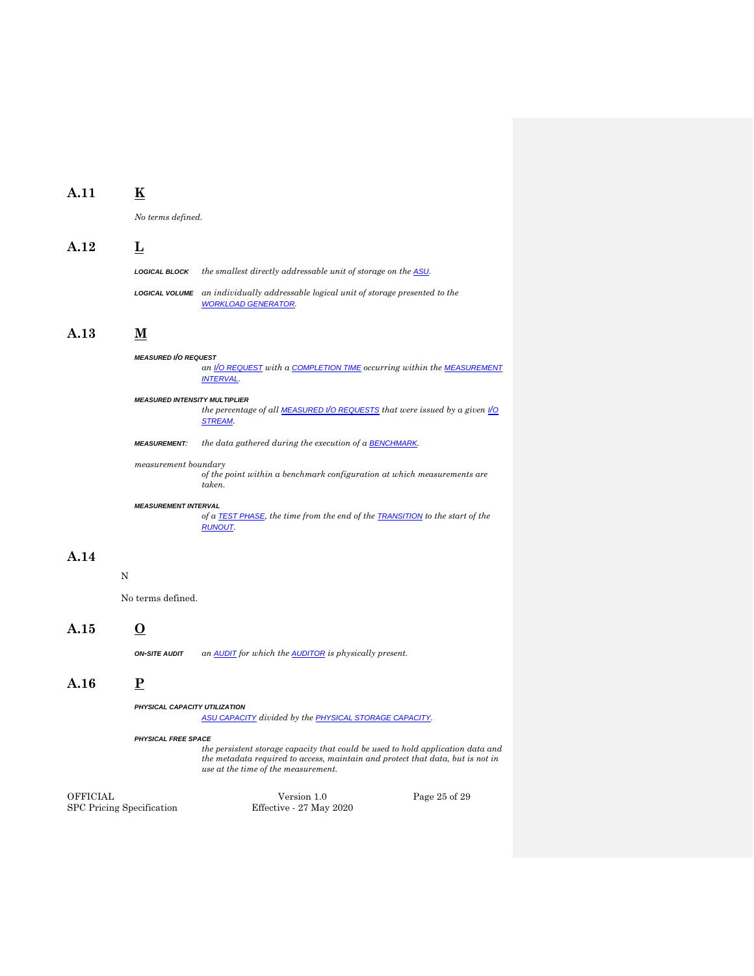# **A.11 K**

*No terms defined.*

# **A.12 L**

*LOGICAL BLOCK the smallest directly addressable unit of storage on the ASU.* 

*LOGICAL VOLUME an individually addressable logical unit of storage presented to the WORKLOAD GENERATOR.*

# **A.13 M**

*MEASURED I/O REQUEST*

*an I/O REQUEST with a COMPLETION TIME occurring within the MEASUREMENT INTERVAL.*

### *MEASURED INTENSITY MULTIPLIER*

*the percentage of all MEASURED I/O REQUESTS that were issued by a given I/O STREAM.*

<span id="page-24-0"></span>*MEASUREMENT: the data gathered during the execution of a BENCHMARK.*

#### *measurement boundary*

*of the point within a [benchmark configuration](#page-22-0) at which measurements are taken.*

#### *MEASUREMENT INTERVAL*

*of a TEST PHASE, the time from the end of the TRANSITION to the start of the RUNOUT.*

# **A.14**

# N

No terms defined.

# **A.15 O**

*ON-SITE AUDIT an AUDIT for which the AUDITOR is physically present.*

# **A.16 P**

*PHYSICAL CAPACITY UTILIZATION*

*ASU CAPACITY divided by the PHYSICAL STORAGE CAPACITY.* 

#### *PHYSICAL FREE SPACE*

*the persistent storage capacity that could be used to hold application data and the metadata required to access, maintain and protect that data, but is not in use at the time of the measurement.*

OFFICIAL Version 1.0 Page 25 of 29 SPC Pricing Specification Effective - 27 May 2020 SPC Pricing Specification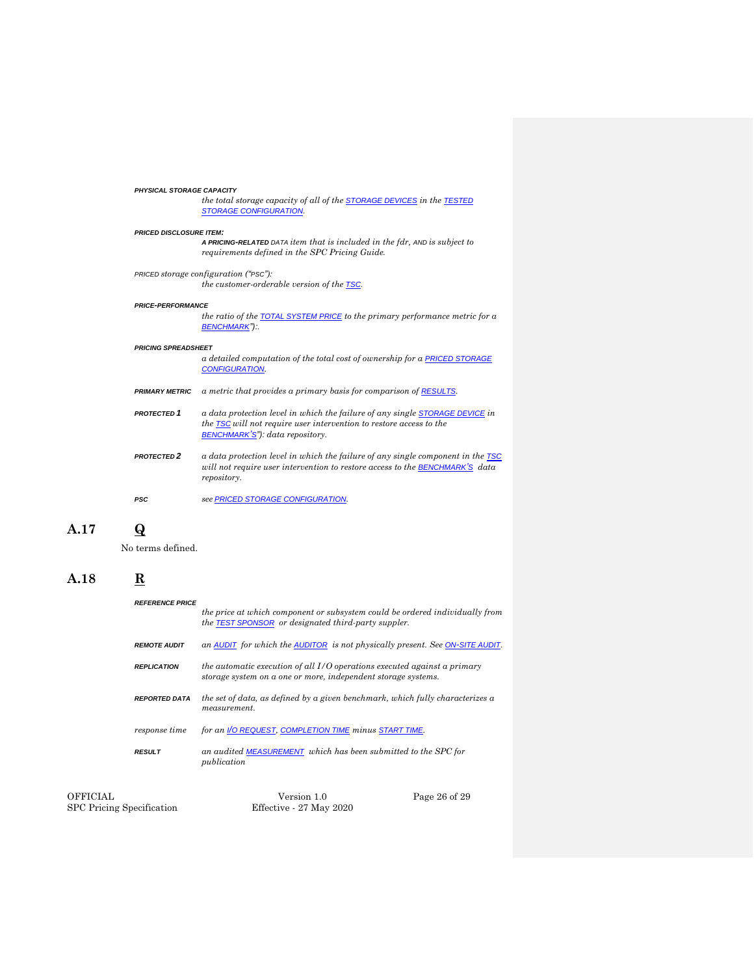*PHYSICAL STORAGE CAPACITY*

*the total storage capacity of all of the STORAGE DEVICES in the TESTED STORAGE CONFIGURATION.*

#### *PRICED DISCLOSURE ITEM:*

*A PRICING-RELATED DATA item that is included in the [fdr,](#page-23-1) AND is subject to requirements defined in the SPC Pricing Guide.*

#### *PRICED storage configuration ("PSC"):*

*the customer-orderable version of the TSC.*

#### *PRICE-PERFORMANCE*

*the ratio of the TOTAL SYSTEM PRICE to the primary performance metric for a BENCHMARK"):.*

#### *PRICING SPREADSHEET*

| a detailed computation of the total cost of ownership for a PRICED STORAGE |  |  |  |
|----------------------------------------------------------------------------|--|--|--|
| <b>CONFIGURATION</b>                                                       |  |  |  |

#### *PRIMARY METRIC a metric that provides a primary basis for comparison of RESULTS.*

- *PROTECTED 1 a data protection level in which the failure of any single STORAGE DEVICE in the TSC will not require user intervention to restore access to the BENCHMARK'S"): data repository.*
- **PROTECTED 2** *a data protection level in which the failure of any single component in the <u>TSC</u> will not require user intervention to restore access to the BENCHMARK'S data repository.*
- *PSC see [PRICED STORAGE CONFIGURATION](#page-28-0).*

# **A.17 Q**

No terms defined.

# **A.18 R**

| <b>REFERENCE PRICE</b>                       | the price at which component or subsystem could be ordered individually from<br>the TEST SPONSOR or designated third-party suppler.       |               |
|----------------------------------------------|-------------------------------------------------------------------------------------------------------------------------------------------|---------------|
| <b>REMOTE AUDIT</b>                          | an AUDIT for which the AUDITOR is not physically present. See ON-SITE AUDIT.                                                              |               |
| <b>REPLICATION</b>                           | the automatic execution of all I/O operations executed against a primary<br>storage system on a one or more, independent storage systems. |               |
| <b>REPORTED DATA</b>                         | the set of data, as defined by a given benchmark, which fully characterizes a<br>measurement.                                             |               |
| response time                                | for an I/O REQUEST, COMPLETION TIME minus START TIME.                                                                                     |               |
| <b>RESULT</b>                                | an audited MEASUREMENT which has been submitted to the SPC for<br>publication                                                             |               |
| OFFICIAL<br><b>SPC</b> Pricing Specification | Version 1.0<br>Effective - 27 May 2020                                                                                                    | Page 26 of 29 |

SPC Pricing Specification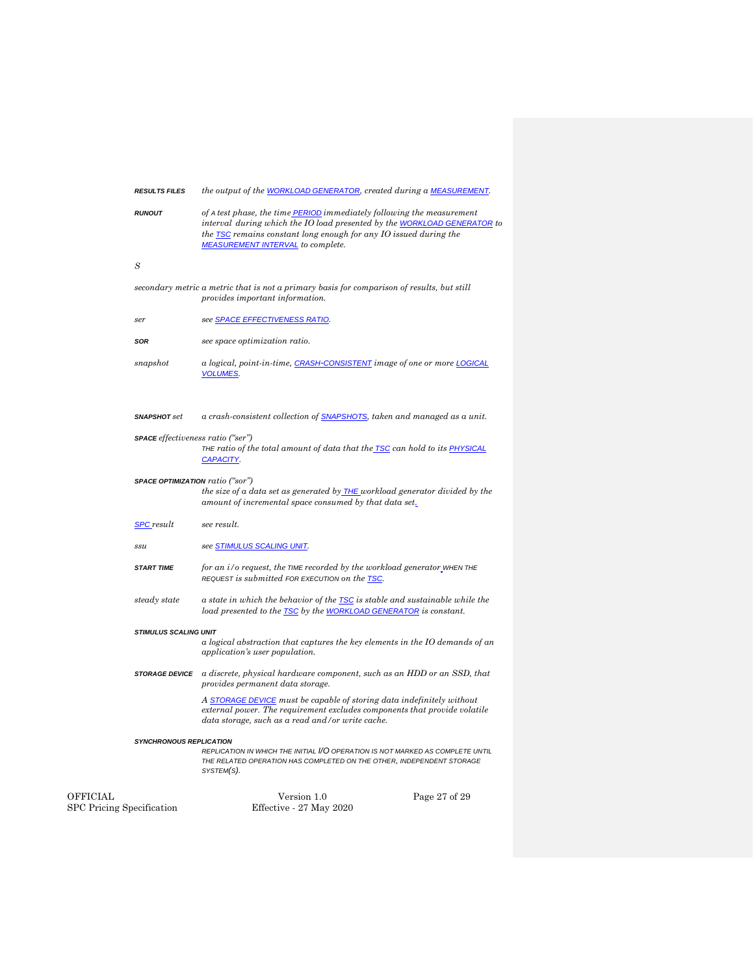<span id="page-26-0"></span>

| <b>RESULTS FILES</b>                     | the output of the WORKLOAD GENERATOR, created during a MEASUREMENT.                                                                                                                                                                                                        |               |  |
|------------------------------------------|----------------------------------------------------------------------------------------------------------------------------------------------------------------------------------------------------------------------------------------------------------------------------|---------------|--|
| <b>RUNOUT</b>                            | of A test phase, the time <b>PERIOD</b> immediately following the measurement<br>interval during which the IO load presented by the WORKLOAD GENERATOR to<br>the <b>TSC</b> remains constant long enough for any IO issued during the<br>MEASUREMENT INTERVAL to complete. |               |  |
| S                                        |                                                                                                                                                                                                                                                                            |               |  |
|                                          | secondary metric a metric that is not a primary basis for comparison of results, but still<br>provides important information.                                                                                                                                              |               |  |
| ser                                      | see SPACE EFFECTIVENESS RATIO.                                                                                                                                                                                                                                             |               |  |
| SOR                                      | see space optimization ratio.                                                                                                                                                                                                                                              |               |  |
| snapshot                                 | a logical, point-in-time, CRASH-CONSISTENT image of one or more LOGICAL<br><b>VOLUMES.</b>                                                                                                                                                                                 |               |  |
| <b>SNAPSHOT</b> set                      | a crash-consistent collection of <b>SNAPSHOTS</b> , taken and managed as a unit.                                                                                                                                                                                           |               |  |
| <b>SPACE</b> effectiveness ratio ("ser") | THE ratio of the total amount of data that the TSC can hold to its PHYSICAL<br><b>CAPACITY</b>                                                                                                                                                                             |               |  |
| SPACE OPTIMIZATION ratio ("sor")         | the size of a data set as generated by <b>THE</b> workload generator divided by the<br>amount of incremental space consumed by that data set.                                                                                                                              |               |  |
| <b>SPC</b> result                        | see result.                                                                                                                                                                                                                                                                |               |  |
| ssu                                      | see STIMULUS SCALING UNIT.                                                                                                                                                                                                                                                 |               |  |
| <b>START TIME</b>                        | for an $i$ /o request, the TIME recorded by the workload generator WHEN THE<br>REQUEST is submitted FOR EXECUTION on the TSC.                                                                                                                                              |               |  |
| steady state                             | a state in which the behavior of the TSC is stable and sustainable while the<br>load presented to the TSC by the WORKLOAD GENERATOR is constant.                                                                                                                           |               |  |
| <b>STIMULUS SCALING UNIT</b>             |                                                                                                                                                                                                                                                                            |               |  |
|                                          | a logical abstraction that captures the key elements in the IO demands of an<br>application's user population.                                                                                                                                                             |               |  |
|                                          | <b>STORAGE DEVICE</b> a discrete, physical hardware component, such as an HDD or an SSD, that<br>provides permanent data storage.                                                                                                                                          |               |  |
|                                          | A STORAGE DEVICE must be capable of storing data indefinitely without<br>external power. The requirement excludes components that provide volatile<br>data storage, such as a read and/or write cache.                                                                     |               |  |
| <b>SYNCHRONOUS REPLICATION</b>           | REPLICATION IN WHICH THE INITIAL I/O OPERATION IS NOT MARKED AS COMPLETE UNTIL<br>THE RELATED OPERATION HAS COMPLETED ON THE OTHER, INDEPENDENT STORAGE<br>SYSTEM(S).                                                                                                      |               |  |
| Specification                            | Version 1.0<br>Effective - 27 May 2020                                                                                                                                                                                                                                     | Page 27 of 29 |  |

 $\rm OFFICIAL$ SPC Pricing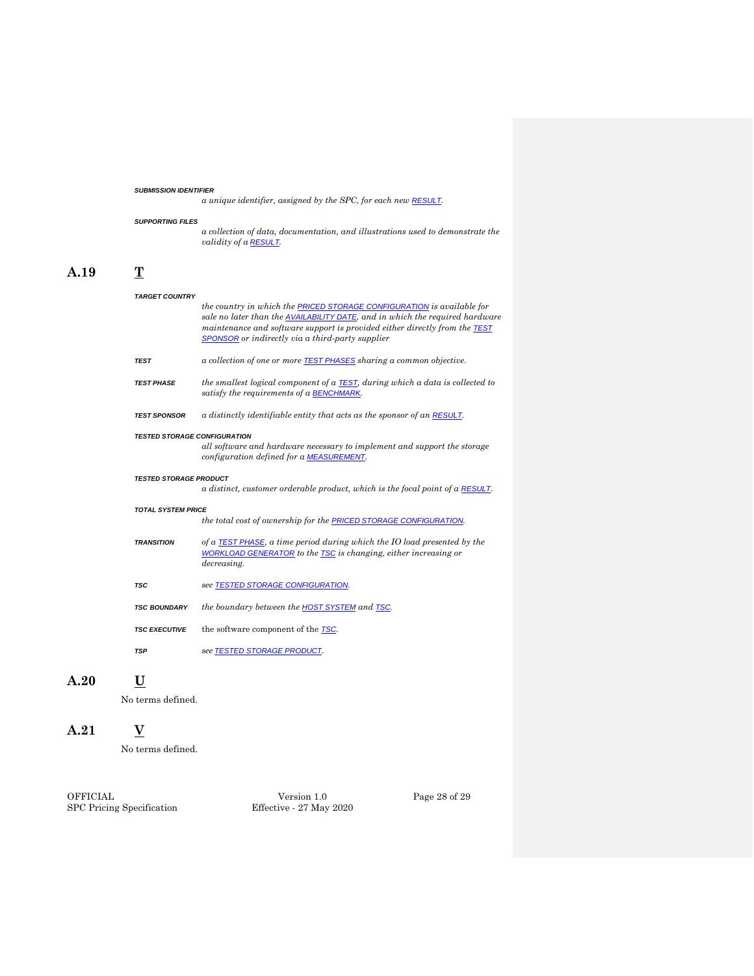#### *SUBMISSION IDENTIFIER*

*a unique identifier, assigned by the SPC, for each new RESULT.*

#### *SUPPORTING FILES*

*a collection of data, documentation, and illustrations used to demonstrate the validity of a RESULT.*

# **A.19 T**

| <b>TARGET COUNTRY</b>               | the country in which the PRICED STORAGE CONFIGURATION is available for<br>sale no later than the AVAILABILITY DATE, and in which the required hardware<br>maintenance and software support is provided either directly from the <b>TEST</b><br><b>SPONSOR</b> or indirectly via a third-party supplier |
|-------------------------------------|--------------------------------------------------------------------------------------------------------------------------------------------------------------------------------------------------------------------------------------------------------------------------------------------------------|
| <b>TEST</b>                         | a collection of one or more TEST PHASES sharing a common objective.                                                                                                                                                                                                                                    |
| <b>TEST PHASE</b>                   | the smallest logical component of a TEST, during which a data is collected to<br>satisfy the requirements of a BENCHMARK.                                                                                                                                                                              |
| <b>TEST SPONSOR</b>                 | a distinctly identifiable entity that acts as the sponsor of an RESULT.                                                                                                                                                                                                                                |
| <b>TESTED STORAGE CONFIGURATION</b> | all software and hardware necessary to implement and support the storage<br>configuration defined for a MEASUREMENT.                                                                                                                                                                                   |
| <b>TESTED STORAGE PRODUCT</b>       | a distinct, customer orderable product, which is the focal point of a RESULT.                                                                                                                                                                                                                          |
| <b>TOTAL SYSTEM PRICE</b>           |                                                                                                                                                                                                                                                                                                        |
|                                     | the total cost of ownership for the PRICED STORAGE CONFIGURATION.                                                                                                                                                                                                                                      |
| <b>TRANSITION</b>                   | of a TEST PHASE, a time period during which the IO load presented by the<br>WORKLOAD GENERATOR to the TSC is changing, either increasing or<br>decreasing.                                                                                                                                             |
| TSC                                 | see TESTED STORAGE CONFIGURATION.                                                                                                                                                                                                                                                                      |
| <b>TSC BOUNDARY</b>                 | the boundary between the HOST SYSTEM and TSC.                                                                                                                                                                                                                                                          |
| <b>TSC EXECUTIVE</b>                | the software component of the TSC.                                                                                                                                                                                                                                                                     |
| <b>TSP</b>                          | see TESTED STORAGE PRODUCT.                                                                                                                                                                                                                                                                            |

# <span id="page-27-0"></span>**A.20 U**

No terms defined.

# **A.21 V**

No terms defined.

 $\begin{tabular}{ll} \bf{OFFICIAL} & \bf{Version\ 1.0} & \bf{Page\ 28 of\ 29}\\ \bf{SPC Pricing Specification} & \bf{Effective\cdot 27 May\ 2020} \\ \end{tabular}$  ${\rm SPC}$  Pricing Specification